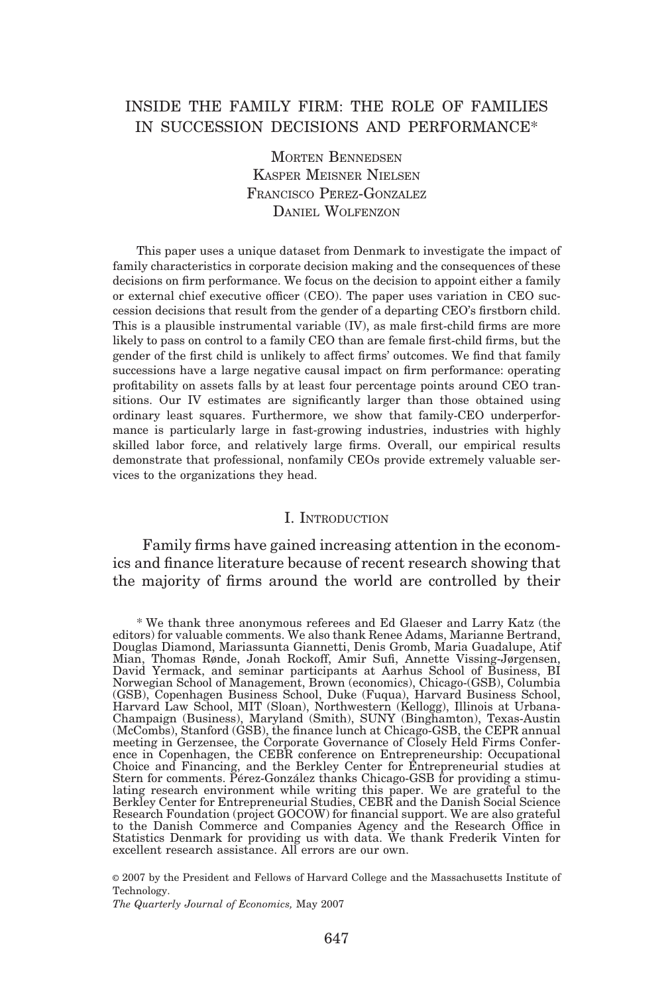## INSIDE THE FAMILY FIRM: THE ROLE OF FAMILIES IN SUCCESSION DECISIONS AND PERFORMANCE\*

MORTEN BENNEDSEN KASPER MEISNER NIELSEN FRANCISCO PEREZ-GONZALEZ DANIEL WOLFENZON

This paper uses a unique dataset from Denmark to investigate the impact of family characteristics in corporate decision making and the consequences of these decisions on firm performance. We focus on the decision to appoint either a family or external chief executive officer (CEO). The paper uses variation in CEO succession decisions that result from the gender of a departing CEO's firstborn child. This is a plausible instrumental variable (IV), as male first-child firms are more likely to pass on control to a family CEO than are female first-child firms, but the gender of the first child is unlikely to affect firms' outcomes. We find that family successions have a large negative causal impact on firm performance: operating profitability on assets falls by at least four percentage points around CEO transitions. Our IV estimates are significantly larger than those obtained using ordinary least squares. Furthermore, we show that family-CEO underperformance is particularly large in fast-growing industries, industries with highly skilled labor force, and relatively large firms. Overall, our empirical results demonstrate that professional, nonfamily CEOs provide extremely valuable services to the organizations they head.

#### I. INTRODUCTION

Family firms have gained increasing attention in the economics and finance literature because of recent research showing that the majority of firms around the world are controlled by their

*The Quarterly Journal of Economics,* May 2007

<sup>\*</sup> We thank three anonymous referees and Ed Glaeser and Larry Katz (the editors) for valuable comments. We also thank Renee Adams, Marianne Bertrand, Douglas Diamond, Mariassunta Giannetti, Denis Gromb, Maria Guadalupe, Atif Mian, Thomas Rønde, Jonah Rockoff, Amir Sufi, Annette Vissing-Jørgensen, David Yermack, and seminar participants at Aarhus School of Business, BI Norwegian School of Management, Brown (economics), Chicago-(GSB), Columbia (GSB), Copenhagen Business School, Duke (Fuqua), Harvard Business School, Harvard Law School, MIT (Sloan), Northwestern (Kellogg), Illinois at Urbana-Champaign (Business), Maryland (Smith), SUNY (Binghamton), Texas-Austin (McCombs), Stanford (GSB), the finance lunch at Chicago-GSB, the CEPR annual meeting in Gerzensee, the Corporate Governance of Closely Held Firms Conference in Copenhagen, the CEBR conference on Entrepreneurship: Occupational Choice and Financing, and the Berkley Center for Entrepreneurial studies at Stern for comments. Pérez-González thanks Chicago-GSB for providing a stimulating research environment while writing this paper. We are grateful to the<br>Berkley Center for Entrepreneurial Studies, CEBR and the Danish Social Science<br>Research Foundation (project GOCOW) for financial support. We are to the Danish Commerce and Companies Agency and the Research Office in Statistics Denmark for providing us with data. We thank Frederik Vinten for excellent research assistance. All errors are our own.

<sup>©</sup> 2007 by the President and Fellows of Harvard College and the Massachusetts Institute of Technology.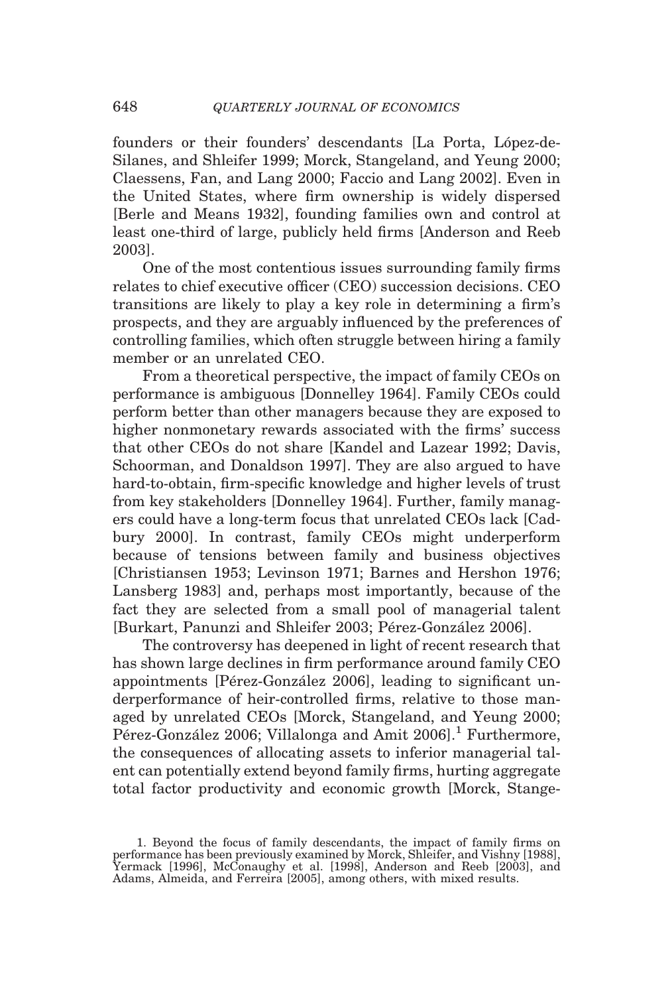founders or their founders' descendants [La Porta, López-de-Silanes, and Shleifer 1999; Morck, Stangeland, and Yeung 2000; Claessens, Fan, and Lang 2000; Faccio and Lang 2002]. Even in the United States, where firm ownership is widely dispersed [Berle and Means 1932], founding families own and control at least one-third of large, publicly held firms [Anderson and Reeb 2003].

One of the most contentious issues surrounding family firms relates to chief executive officer (CEO) succession decisions. CEO transitions are likely to play a key role in determining a firm's prospects, and they are arguably influenced by the preferences of controlling families, which often struggle between hiring a family member or an unrelated CEO.

From a theoretical perspective, the impact of family CEOs on performance is ambiguous [Donnelley 1964]. Family CEOs could perform better than other managers because they are exposed to higher nonmonetary rewards associated with the firms' success that other CEOs do not share [Kandel and Lazear 1992; Davis, Schoorman, and Donaldson 1997]. They are also argued to have hard-to-obtain, firm-specific knowledge and higher levels of trust from key stakeholders [Donnelley 1964]. Further, family managers could have a long-term focus that unrelated CEOs lack [Cadbury 2000]. In contrast, family CEOs might underperform because of tensions between family and business objectives [Christiansen 1953; Levinson 1971; Barnes and Hershon 1976; Lansberg 1983] and, perhaps most importantly, because of the fact they are selected from a small pool of managerial talent [Burkart, Panunzi and Shleifer 2003; Pérez-González 2006].

The controversy has deepened in light of recent research that has shown large declines in firm performance around family CEO appointments [Pérez-González 2006], leading to significant underperformance of heir-controlled firms, relative to those managed by unrelated CEOs [Morck, Stangeland, and Yeung 2000; Pérez-González 2006; Villalonga and Amit  $2006$ ].<sup>1</sup> Furthermore, the consequences of allocating assets to inferior managerial talent can potentially extend beyond family firms, hurting aggregate total factor productivity and economic growth [Morck, Stange-

<sup>1.</sup> Beyond the focus of family descendants, the impact of family firms on performance has been previously examined by Morck, Shleifer, and Vishny [1988], Yermack [1996], McConaughy et al. [1998], Anderson and Reeb [2003], and Adams, Almeida, and Ferreira [2005], among others, with mixed results.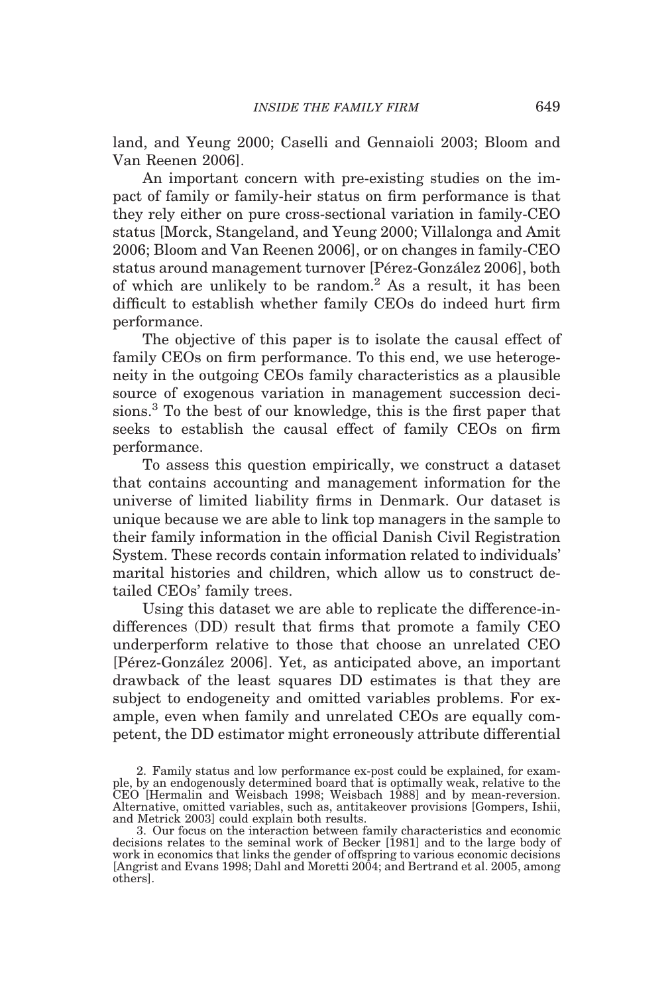land, and Yeung 2000; Caselli and Gennaioli 2003; Bloom and Van Reenen 2006].

An important concern with pre-existing studies on the impact of family or family-heir status on firm performance is that they rely either on pure cross-sectional variation in family-CEO status [Morck, Stangeland, and Yeung 2000; Villalonga and Amit 2006; Bloom and Van Reenen 2006], or on changes in family-CEO status around management turnover [Pérez-González 2006], both of which are unlikely to be random.2 As a result, it has been difficult to establish whether family CEOs do indeed hurt firm performance.

The objective of this paper is to isolate the causal effect of family CEOs on firm performance. To this end, we use heterogeneity in the outgoing CEOs family characteristics as a plausible source of exogenous variation in management succession decisions.3 To the best of our knowledge, this is the first paper that seeks to establish the causal effect of family CEOs on firm performance.

To assess this question empirically, we construct a dataset that contains accounting and management information for the universe of limited liability firms in Denmark. Our dataset is unique because we are able to link top managers in the sample to their family information in the official Danish Civil Registration System. These records contain information related to individuals' marital histories and children, which allow us to construct detailed CEOs' family trees.

Using this dataset we are able to replicate the difference-indifferences (DD) result that firms that promote a family CEO underperform relative to those that choose an unrelated CEO [Pérez-González 2006]. Yet, as anticipated above, an important drawback of the least squares DD estimates is that they are subject to endogeneity and omitted variables problems. For example, even when family and unrelated CEOs are equally competent, the DD estimator might erroneously attribute differential

<sup>2.</sup> Family status and low performance ex-post could be explained, for example, by an endogenously determined board that is optimally weak, relative to the CEO [Hermalin and Weisbach 1998; Weisbach 1988] and by mean-reversion. Alternative, omitted variables, such as, antitakeover provisions [Gompers, Ishii, and Metrick 2003] could explain both results.

<sup>3.</sup> Our focus on the interaction between family characteristics and economic decisions relates to the seminal work of Becker [1981] and to the large body of work in economics that links the gender of offspring to various economic decisions [Angrist and Evans 1998; Dahl and Moretti 2004; and Bertrand et al. 2005, among others].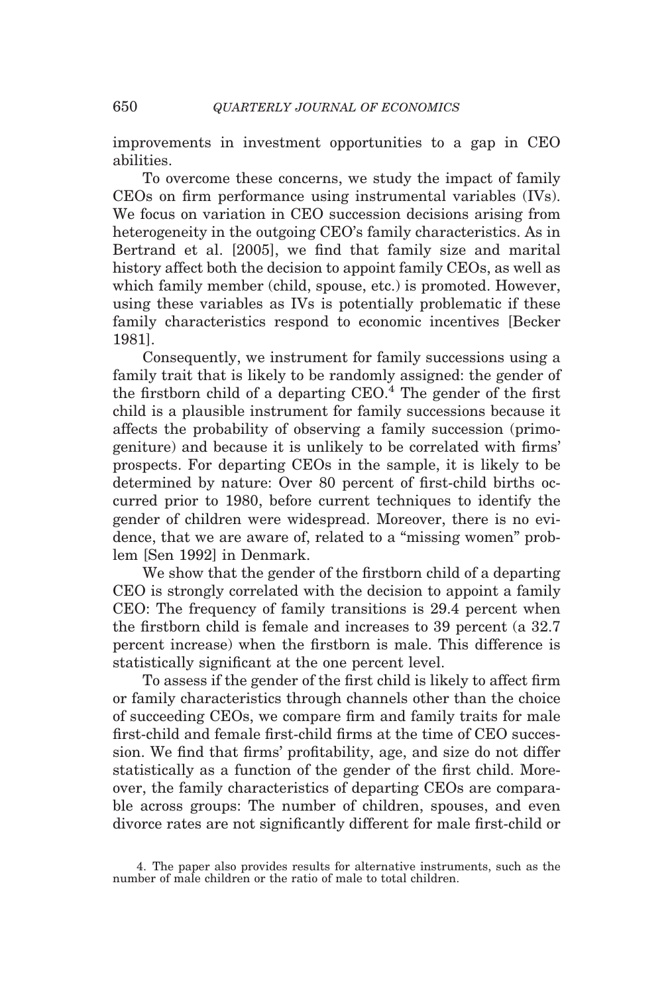improvements in investment opportunities to a gap in CEO abilities.

To overcome these concerns, we study the impact of family CEOs on firm performance using instrumental variables (IVs). We focus on variation in CEO succession decisions arising from heterogeneity in the outgoing CEO's family characteristics. As in Bertrand et al. [2005], we find that family size and marital history affect both the decision to appoint family CEOs, as well as which family member (child, spouse, etc.) is promoted. However, using these variables as IVs is potentially problematic if these family characteristics respond to economic incentives [Becker 1981].

Consequently, we instrument for family successions using a family trait that is likely to be randomly assigned: the gender of the firstborn child of a departing  $CEO<sup>4</sup>$ . The gender of the first child is a plausible instrument for family successions because it affects the probability of observing a family succession (primogeniture) and because it is unlikely to be correlated with firms' prospects. For departing CEOs in the sample, it is likely to be determined by nature: Over 80 percent of first-child births occurred prior to 1980, before current techniques to identify the gender of children were widespread. Moreover, there is no evidence, that we are aware of, related to a "missing women" problem [Sen 1992] in Denmark.

We show that the gender of the firstborn child of a departing CEO is strongly correlated with the decision to appoint a family CEO: The frequency of family transitions is 29.4 percent when the firstborn child is female and increases to 39 percent (a 32.7 percent increase) when the firstborn is male. This difference is statistically significant at the one percent level.

To assess if the gender of the first child is likely to affect firm or family characteristics through channels other than the choice of succeeding CEOs, we compare firm and family traits for male first-child and female first-child firms at the time of CEO succession. We find that firms' profitability, age, and size do not differ statistically as a function of the gender of the first child. Moreover, the family characteristics of departing CEOs are comparable across groups: The number of children, spouses, and even divorce rates are not significantly different for male first-child or

4. The paper also provides results for alternative instruments, such as the number of male children or the ratio of male to total children.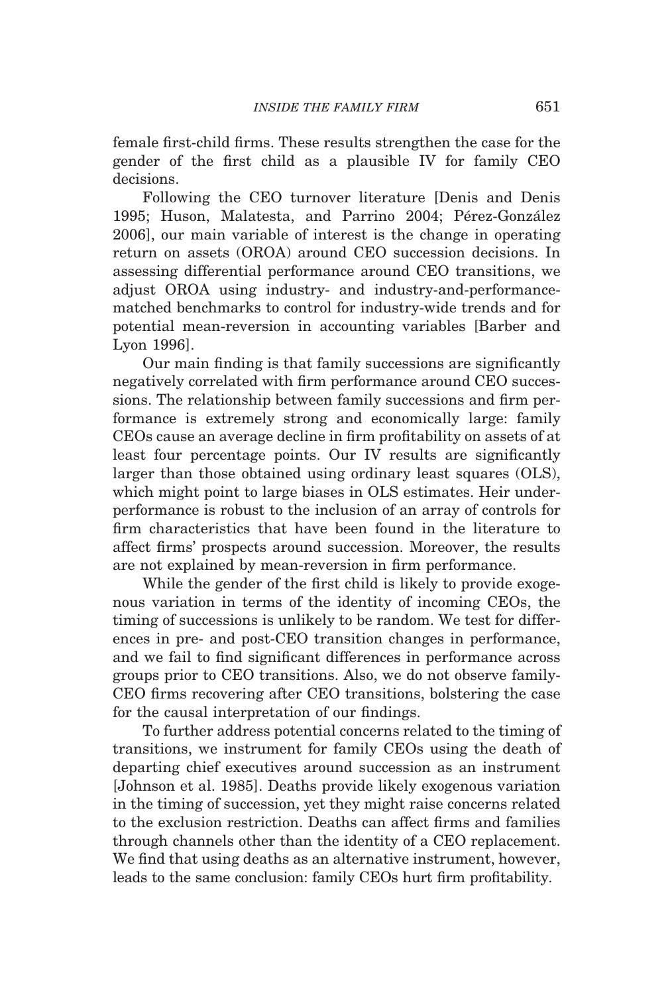female first-child firms. These results strengthen the case for the gender of the first child as a plausible IV for family CEO decisions.

Following the CEO turnover literature [Denis and Denis 1995; Huson, Malatesta, and Parrino 2004; Pérez-González 2006], our main variable of interest is the change in operating return on assets (OROA) around CEO succession decisions. In assessing differential performance around CEO transitions, we adjust OROA using industry- and industry-and-performancematched benchmarks to control for industry-wide trends and for potential mean-reversion in accounting variables [Barber and Lyon 1996].

Our main finding is that family successions are significantly negatively correlated with firm performance around CEO successions. The relationship between family successions and firm performance is extremely strong and economically large: family CEOs cause an average decline in firm profitability on assets of at least four percentage points. Our IV results are significantly larger than those obtained using ordinary least squares (OLS), which might point to large biases in OLS estimates. Heir underperformance is robust to the inclusion of an array of controls for firm characteristics that have been found in the literature to affect firms' prospects around succession. Moreover, the results are not explained by mean-reversion in firm performance.

While the gender of the first child is likely to provide exogenous variation in terms of the identity of incoming CEOs, the timing of successions is unlikely to be random. We test for differences in pre- and post-CEO transition changes in performance, and we fail to find significant differences in performance across groups prior to CEO transitions. Also, we do not observe family-CEO firms recovering after CEO transitions, bolstering the case for the causal interpretation of our findings.

To further address potential concerns related to the timing of transitions, we instrument for family CEOs using the death of departing chief executives around succession as an instrument [Johnson et al. 1985]. Deaths provide likely exogenous variation in the timing of succession, yet they might raise concerns related to the exclusion restriction. Deaths can affect firms and families through channels other than the identity of a CEO replacement. We find that using deaths as an alternative instrument, however, leads to the same conclusion: family CEOs hurt firm profitability.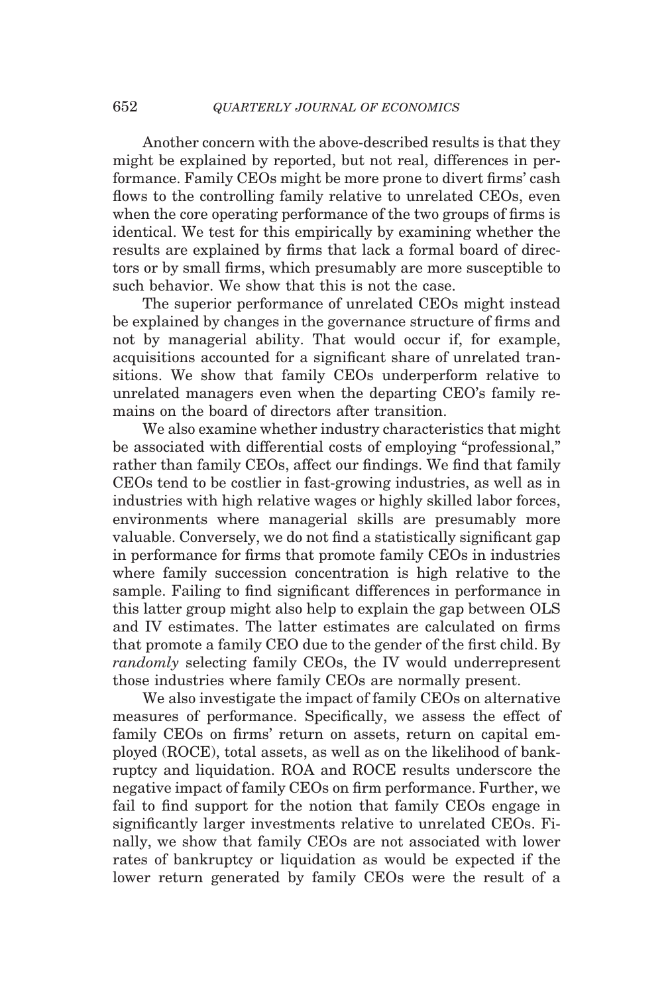Another concern with the above-described results is that they might be explained by reported, but not real, differences in performance. Family CEOs might be more prone to divert firms' cash flows to the controlling family relative to unrelated CEOs, even when the core operating performance of the two groups of firms is identical. We test for this empirically by examining whether the results are explained by firms that lack a formal board of directors or by small firms, which presumably are more susceptible to such behavior. We show that this is not the case.

The superior performance of unrelated CEOs might instead be explained by changes in the governance structure of firms and not by managerial ability. That would occur if, for example, acquisitions accounted for a significant share of unrelated transitions. We show that family CEOs underperform relative to unrelated managers even when the departing CEO's family remains on the board of directors after transition.

We also examine whether industry characteristics that might be associated with differential costs of employing "professional," rather than family CEOs, affect our findings. We find that family CEOs tend to be costlier in fast-growing industries, as well as in industries with high relative wages or highly skilled labor forces, environments where managerial skills are presumably more valuable. Conversely, we do not find a statistically significant gap in performance for firms that promote family CEOs in industries where family succession concentration is high relative to the sample. Failing to find significant differences in performance in this latter group might also help to explain the gap between OLS and IV estimates. The latter estimates are calculated on firms that promote a family CEO due to the gender of the first child. By *randomly* selecting family CEOs, the IV would underrepresent those industries where family CEOs are normally present.

We also investigate the impact of family CEOs on alternative measures of performance. Specifically, we assess the effect of family CEOs on firms' return on assets, return on capital employed (ROCE), total assets, as well as on the likelihood of bankruptcy and liquidation. ROA and ROCE results underscore the negative impact of family CEOs on firm performance. Further, we fail to find support for the notion that family CEOs engage in significantly larger investments relative to unrelated CEOs. Finally, we show that family CEOs are not associated with lower rates of bankruptcy or liquidation as would be expected if the lower return generated by family CEOs were the result of a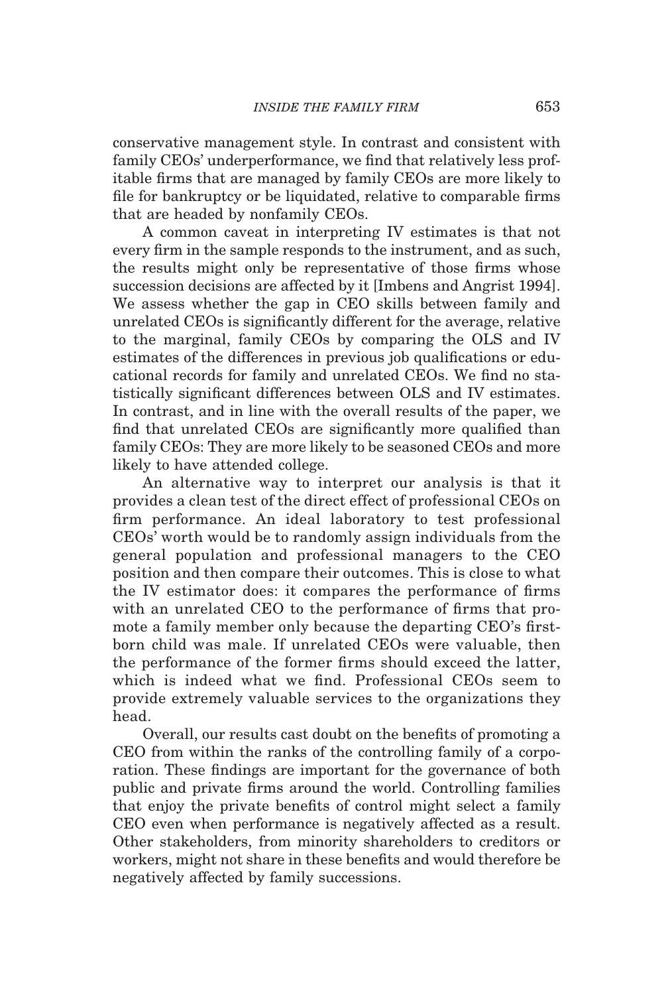conservative management style. In contrast and consistent with family CEOs' underperformance, we find that relatively less profitable firms that are managed by family CEOs are more likely to file for bankruptcy or be liquidated, relative to comparable firms that are headed by nonfamily CEOs.

A common caveat in interpreting IV estimates is that not every firm in the sample responds to the instrument, and as such, the results might only be representative of those firms whose succession decisions are affected by it [Imbens and Angrist 1994]. We assess whether the gap in CEO skills between family and unrelated CEOs is significantly different for the average, relative to the marginal, family CEOs by comparing the OLS and IV estimates of the differences in previous job qualifications or educational records for family and unrelated CEOs. We find no statistically significant differences between OLS and IV estimates. In contrast, and in line with the overall results of the paper, we find that unrelated CEOs are significantly more qualified than family CEOs: They are more likely to be seasoned CEOs and more likely to have attended college.

An alternative way to interpret our analysis is that it provides a clean test of the direct effect of professional CEOs on firm performance. An ideal laboratory to test professional CEOs' worth would be to randomly assign individuals from the general population and professional managers to the CEO position and then compare their outcomes. This is close to what the IV estimator does: it compares the performance of firms with an unrelated CEO to the performance of firms that promote a family member only because the departing CEO's firstborn child was male. If unrelated CEOs were valuable, then the performance of the former firms should exceed the latter, which is indeed what we find. Professional CEOs seem to provide extremely valuable services to the organizations they head.

Overall, our results cast doubt on the benefits of promoting a CEO from within the ranks of the controlling family of a corporation. These findings are important for the governance of both public and private firms around the world. Controlling families that enjoy the private benefits of control might select a family CEO even when performance is negatively affected as a result. Other stakeholders, from minority shareholders to creditors or workers, might not share in these benefits and would therefore be negatively affected by family successions.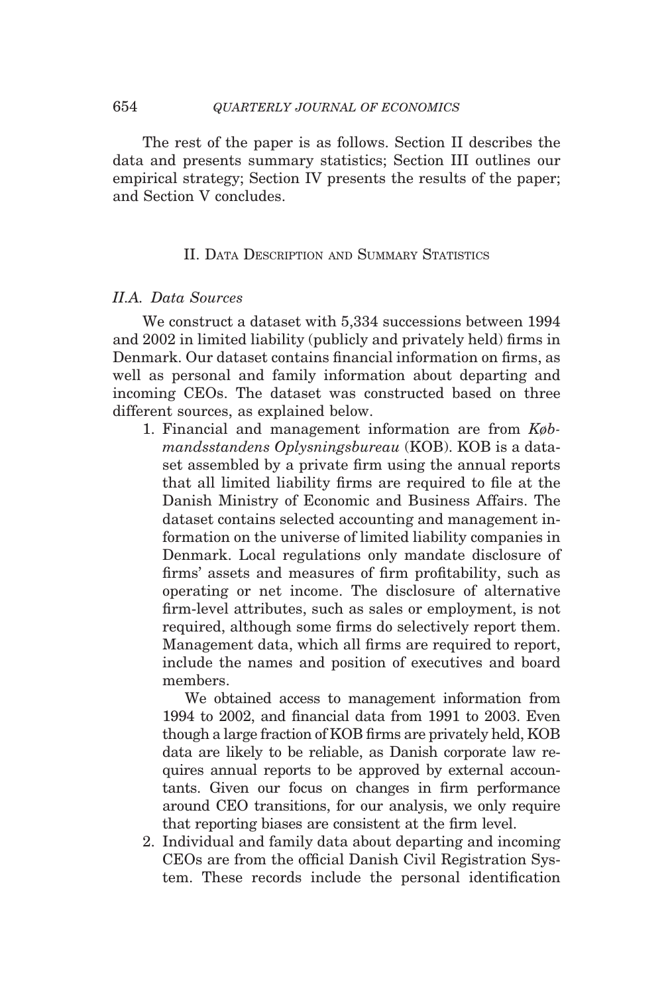The rest of the paper is as follows. Section II describes the data and presents summary statistics; Section III outlines our empirical strategy; Section IV presents the results of the paper; and Section V concludes.

### II. DATA DESCRIPTION AND SUMMARY STATISTICS

### *II.A. Data Sources*

We construct a dataset with 5,334 successions between 1994 and 2002 in limited liability (publicly and privately held) firms in Denmark. Our dataset contains financial information on firms, as well as personal and family information about departing and incoming CEOs. The dataset was constructed based on three different sources, as explained below.

1. Financial and management information are from *Købmandsstandens Oplysningsbureau* (KOB). KOB is a dataset assembled by a private firm using the annual reports that all limited liability firms are required to file at the Danish Ministry of Economic and Business Affairs. The dataset contains selected accounting and management information on the universe of limited liability companies in Denmark. Local regulations only mandate disclosure of firms' assets and measures of firm profitability, such as operating or net income. The disclosure of alternative firm-level attributes, such as sales or employment, is not required, although some firms do selectively report them. Management data, which all firms are required to report, include the names and position of executives and board members.

We obtained access to management information from 1994 to 2002, and financial data from 1991 to 2003. Even though a large fraction of KOB firms are privately held, KOB data are likely to be reliable, as Danish corporate law requires annual reports to be approved by external accountants. Given our focus on changes in firm performance around CEO transitions, for our analysis, we only require that reporting biases are consistent at the firm level.

2. Individual and family data about departing and incoming CEOs are from the official Danish Civil Registration System. These records include the personal identification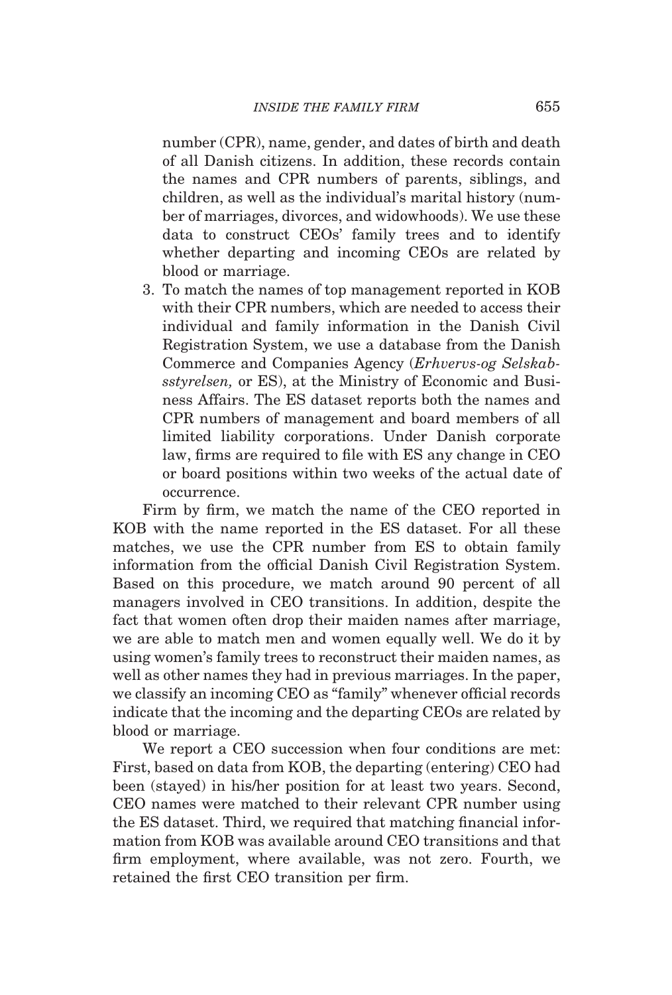number (CPR), name, gender, and dates of birth and death of all Danish citizens. In addition, these records contain the names and CPR numbers of parents, siblings, and children, as well as the individual's marital history (number of marriages, divorces, and widowhoods). We use these data to construct CEOs' family trees and to identify whether departing and incoming CEOs are related by blood or marriage.

3. To match the names of top management reported in KOB with their CPR numbers, which are needed to access their individual and family information in the Danish Civil Registration System, we use a database from the Danish Commerce and Companies Agency (*Erhvervs-og Selskabsstyrelsen,* or ES), at the Ministry of Economic and Business Affairs. The ES dataset reports both the names and CPR numbers of management and board members of all limited liability corporations. Under Danish corporate law, firms are required to file with ES any change in CEO or board positions within two weeks of the actual date of occurrence.

Firm by firm, we match the name of the CEO reported in KOB with the name reported in the ES dataset. For all these matches, we use the CPR number from ES to obtain family information from the official Danish Civil Registration System. Based on this procedure, we match around 90 percent of all managers involved in CEO transitions. In addition, despite the fact that women often drop their maiden names after marriage, we are able to match men and women equally well. We do it by using women's family trees to reconstruct their maiden names, as well as other names they had in previous marriages. In the paper, we classify an incoming CEO as "family" whenever official records indicate that the incoming and the departing CEOs are related by blood or marriage.

We report a CEO succession when four conditions are met: First, based on data from KOB, the departing (entering) CEO had been (stayed) in his/her position for at least two years. Second, CEO names were matched to their relevant CPR number using the ES dataset. Third, we required that matching financial information from KOB was available around CEO transitions and that firm employment, where available, was not zero. Fourth, we retained the first CEO transition per firm.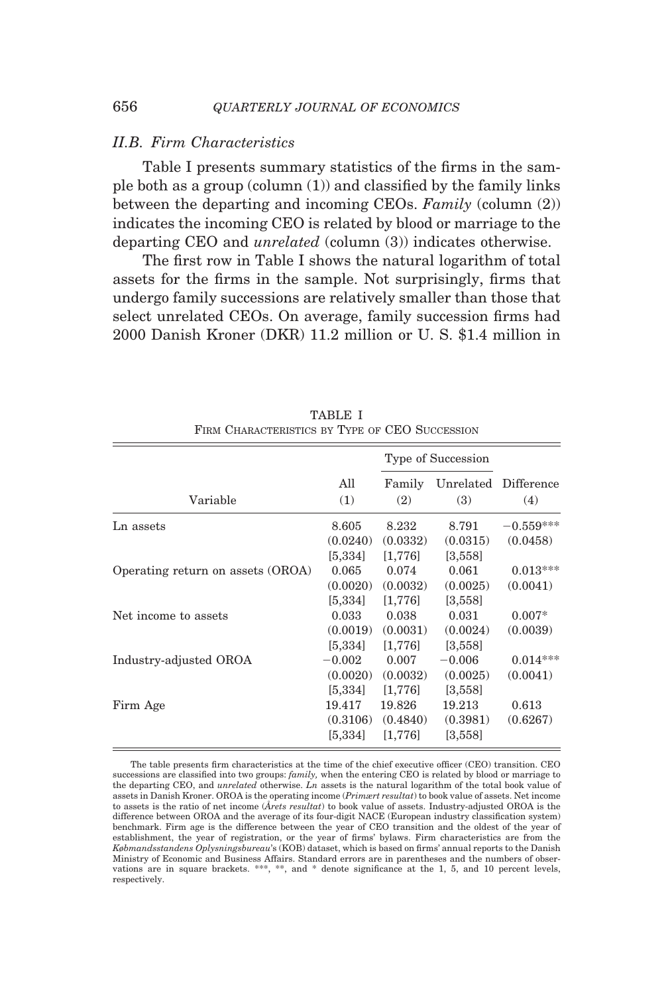#### *II.B. Firm Characteristics*

Table I presents summary statistics of the firms in the sample both as a group (column (1)) and classified by the family links between the departing and incoming CEOs. *Family* (column (2)) indicates the incoming CEO is related by blood or marriage to the departing CEO and *unrelated* (column (3)) indicates otherwise.

The first row in Table I shows the natural logarithm of total assets for the firms in the sample. Not surprisingly, firms that undergo family successions are relatively smaller than those that select unrelated CEOs. On average, family succession firms had 2000 Danish Kroner (DKR) 11.2 million or U. S. \$1.4 million in

|                                   |          |          | Type of Succession |             |
|-----------------------------------|----------|----------|--------------------|-------------|
|                                   | All      | Family   | Unrelated          | Difference  |
| Variable                          | (1)      | (2)      | (3)                | (4)         |
| Ln assets                         | 8.605    | 8.232    | 8.791              | $-0.559***$ |
|                                   | (0.0240) | (0.0332) | (0.0315)           | (0.0458)    |
|                                   | [5,334]  | [1, 776] | [3,558]            |             |
| Operating return on assets (OROA) | 0.065    | 0.074    | 0.061              | $0.013***$  |
|                                   | (0.0020) | (0.0032) | (0.0025)           | (0.0041)    |
|                                   | [5, 334] | [1, 776] | [3,558]            |             |
| Net income to assets              | 0.033    | 0.038    | 0.031              | $0.007*$    |
|                                   | (0.0019) | (0.0031) | (0.0024)           | (0.0039)    |
|                                   | [5, 334] | [1, 776] | [3,558]            |             |
| Industry-adjusted OROA            | $-0.002$ | 0.007    | $-0.006$           | $0.014***$  |
|                                   | (0.0020) | (0.0032) | (0.0025)           | (0.0041)    |
|                                   | [5, 334] | [1, 776] | [3,558]            |             |
| Firm Age                          | 19.417   | 19.826   | 19.213             | 0.613       |
|                                   | (0.3106) | (0.4840) | (0.3981)           | (0.6267)    |
|                                   | [5, 334] | [1, 776] | [3,558]            |             |

TABLE I FIRM CHARACTERISTICS BY TYPE OF CEO SUCCESSION

The table presents firm characteristics at the time of the chief executive officer (CEO) transition. CEO successions are classified into two groups: *family,* when the entering CEO is related by blood or marriage to the departing CEO, and *unrelated* otherwise. *Ln* assets is the natural logarithm of the total book value of assets in Danish Kroner. OROA is the operating income (*Primært resultat*) to book value of assets. Net income to assets is the ratio of net income (*Årets resultat*) to book value of assets. Industry-adjusted OROA is the difference between OROA and the average of its four-digit NACE (European industry classification system) benchmark. Firm age is the difference between the year of CEO transition and the oldest of the year of establishment, the year of registration, or the year of firms' bylaws. Firm characteristics are from the *Købmandsstandens Oplysningsbureau*'s (KOB) dataset, which is based on firms' annual reports to the Danish Ministry of Economic and Business Affairs. Standard errors are in parentheses and the numbers of observations are in square brackets. \*\*\*, \*\*, and \* denote significance at the 1, 5, and 10 percent levels, respectively.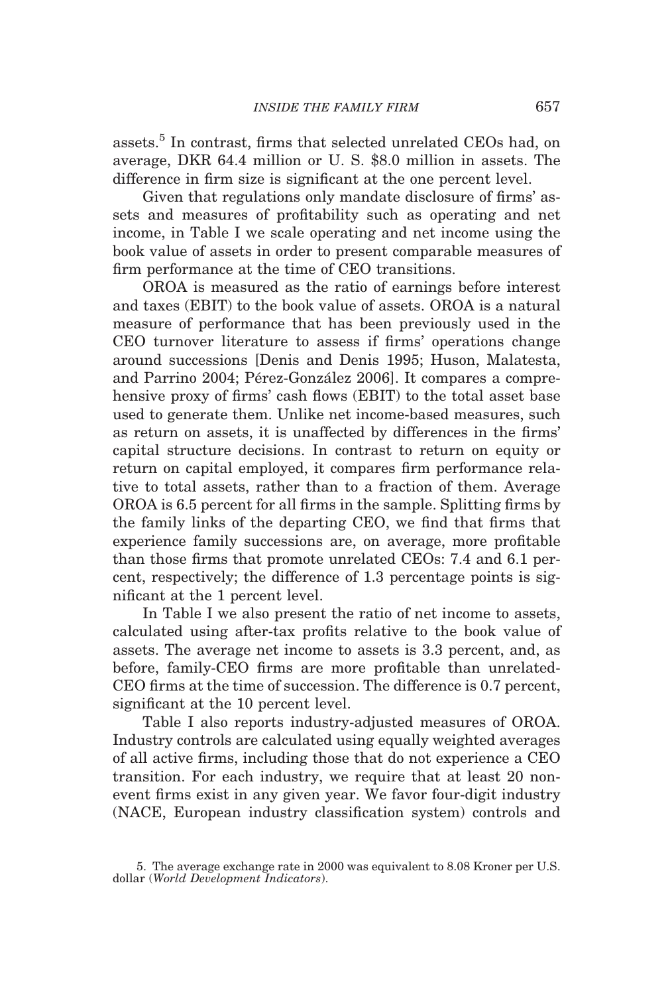assets.5 In contrast, firms that selected unrelated CEOs had, on average, DKR 64.4 million or U. S. \$8.0 million in assets. The difference in firm size is significant at the one percent level.

Given that regulations only mandate disclosure of firms' assets and measures of profitability such as operating and net income, in Table I we scale operating and net income using the book value of assets in order to present comparable measures of firm performance at the time of CEO transitions.

OROA is measured as the ratio of earnings before interest and taxes (EBIT) to the book value of assets. OROA is a natural measure of performance that has been previously used in the CEO turnover literature to assess if firms' operations change around successions [Denis and Denis 1995; Huson, Malatesta, and Parrino 2004; Pérez-González 2006]. It compares a comprehensive proxy of firms' cash flows (EBIT) to the total asset base used to generate them. Unlike net income-based measures, such as return on assets, it is unaffected by differences in the firms' capital structure decisions. In contrast to return on equity or return on capital employed, it compares firm performance relative to total assets, rather than to a fraction of them. Average OROA is 6.5 percent for all firms in the sample. Splitting firms by the family links of the departing CEO, we find that firms that experience family successions are, on average, more profitable than those firms that promote unrelated CEOs: 7.4 and 6.1 percent, respectively; the difference of 1.3 percentage points is significant at the 1 percent level.

In Table I we also present the ratio of net income to assets, calculated using after-tax profits relative to the book value of assets. The average net income to assets is 3.3 percent, and, as before, family-CEO firms are more profitable than unrelated-CEO firms at the time of succession. The difference is 0.7 percent, significant at the 10 percent level.

Table I also reports industry-adjusted measures of OROA. Industry controls are calculated using equally weighted averages of all active firms, including those that do not experience a CEO transition. For each industry, we require that at least 20 nonevent firms exist in any given year. We favor four-digit industry (NACE, European industry classification system) controls and

<sup>5.</sup> The average exchange rate in 2000 was equivalent to 8.08 Kroner per U.S. dollar (*World Development Indicators*).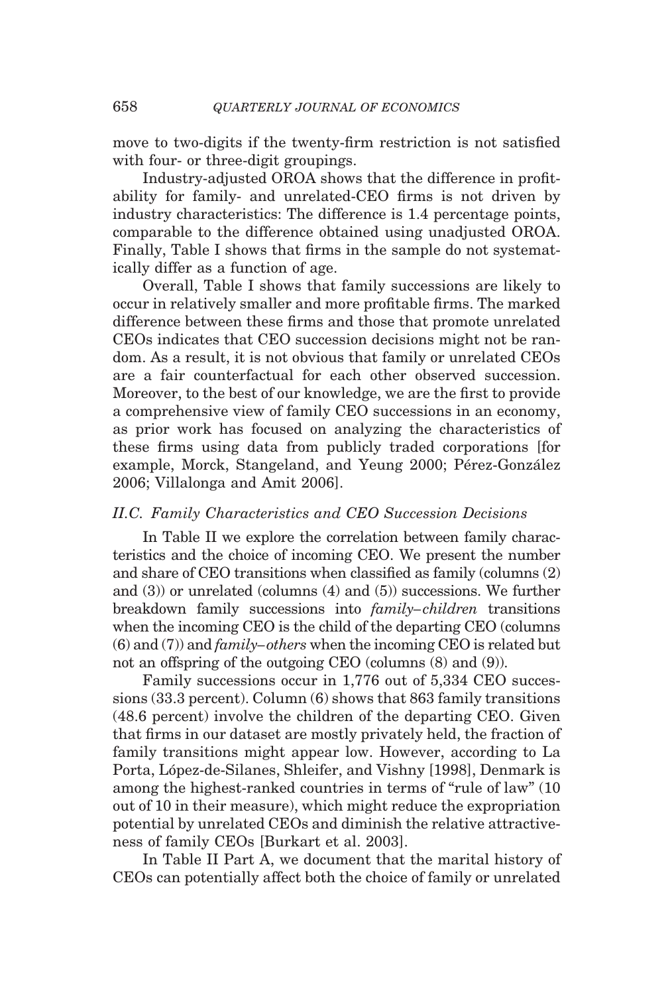move to two-digits if the twenty-firm restriction is not satisfied with four- or three-digit groupings.

Industry-adjusted OROA shows that the difference in profitability for family- and unrelated-CEO firms is not driven by industry characteristics: The difference is 1.4 percentage points, comparable to the difference obtained using unadjusted OROA. Finally, Table I shows that firms in the sample do not systematically differ as a function of age.

Overall, Table I shows that family successions are likely to occur in relatively smaller and more profitable firms. The marked difference between these firms and those that promote unrelated CEOs indicates that CEO succession decisions might not be random. As a result, it is not obvious that family or unrelated CEOs are a fair counterfactual for each other observed succession. Moreover, to the best of our knowledge, we are the first to provide a comprehensive view of family CEO successions in an economy, as prior work has focused on analyzing the characteristics of these firms using data from publicly traded corporations [for example, Morck, Stangeland, and Yeung 2000; Pérez-González 2006; Villalonga and Amit 2006].

### *II.C. Family Characteristics and CEO Succession Decisions*

In Table II we explore the correlation between family characteristics and the choice of incoming CEO. We present the number and share of CEO transitions when classified as family (columns (2) and (3)) or unrelated (columns (4) and (5)) successions. We further breakdown family successions into *family–children* transitions when the incoming CEO is the child of the departing CEO (columns (6) and (7)) and *family–others* when the incoming CEO is related but not an offspring of the outgoing CEO (columns (8) and (9)).

Family successions occur in 1,776 out of 5,334 CEO successions (33.3 percent). Column (6) shows that 863 family transitions (48.6 percent) involve the children of the departing CEO. Given that firms in our dataset are mostly privately held, the fraction of family transitions might appear low. However, according to La Porta, López-de-Silanes, Shleifer, and Vishny [1998], Denmark is among the highest-ranked countries in terms of "rule of law" (10 out of 10 in their measure), which might reduce the expropriation potential by unrelated CEOs and diminish the relative attractiveness of family CEOs [Burkart et al. 2003].

In Table II Part A, we document that the marital history of CEOs can potentially affect both the choice of family or unrelated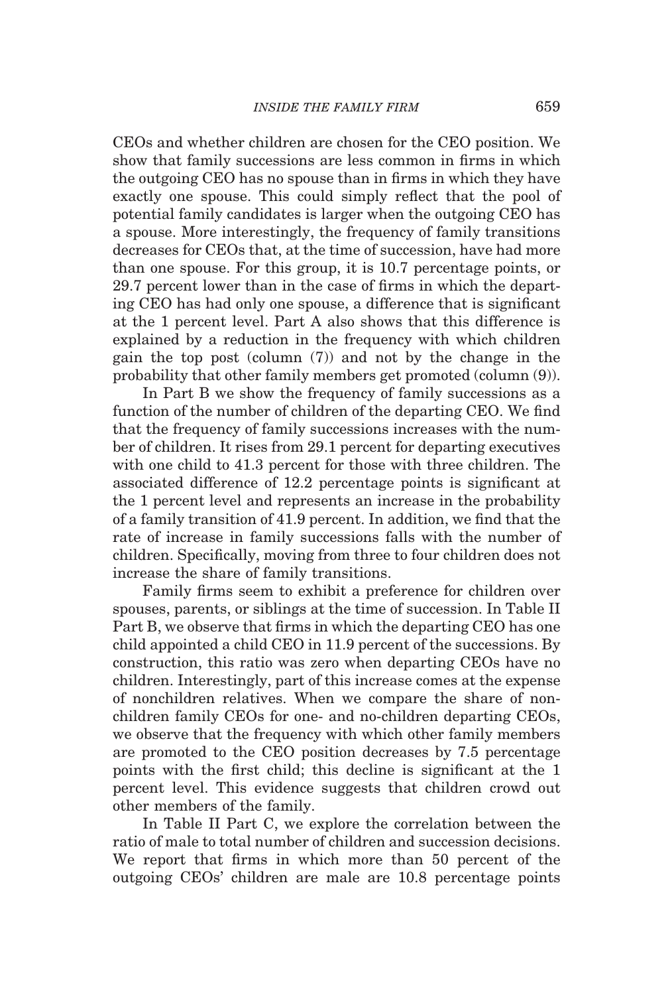CEOs and whether children are chosen for the CEO position. We show that family successions are less common in firms in which the outgoing CEO has no spouse than in firms in which they have exactly one spouse. This could simply reflect that the pool of potential family candidates is larger when the outgoing CEO has a spouse. More interestingly, the frequency of family transitions decreases for CEOs that, at the time of succession, have had more than one spouse. For this group, it is 10.7 percentage points, or 29.7 percent lower than in the case of firms in which the departing CEO has had only one spouse, a difference that is significant at the 1 percent level. Part A also shows that this difference is explained by a reduction in the frequency with which children gain the top post (column (7)) and not by the change in the probability that other family members get promoted (column (9)).

In Part B we show the frequency of family successions as a function of the number of children of the departing CEO. We find that the frequency of family successions increases with the number of children. It rises from 29.1 percent for departing executives with one child to 41.3 percent for those with three children. The associated difference of 12.2 percentage points is significant at the 1 percent level and represents an increase in the probability of a family transition of 41.9 percent. In addition, we find that the rate of increase in family successions falls with the number of children. Specifically, moving from three to four children does not increase the share of family transitions.

Family firms seem to exhibit a preference for children over spouses, parents, or siblings at the time of succession. In Table II Part B, we observe that firms in which the departing CEO has one child appointed a child CEO in 11.9 percent of the successions. By construction, this ratio was zero when departing CEOs have no children. Interestingly, part of this increase comes at the expense of nonchildren relatives. When we compare the share of nonchildren family CEOs for one- and no-children departing CEOs, we observe that the frequency with which other family members are promoted to the CEO position decreases by 7.5 percentage points with the first child; this decline is significant at the 1 percent level. This evidence suggests that children crowd out other members of the family.

In Table II Part C, we explore the correlation between the ratio of male to total number of children and succession decisions. We report that firms in which more than 50 percent of the outgoing CEOs' children are male are 10.8 percentage points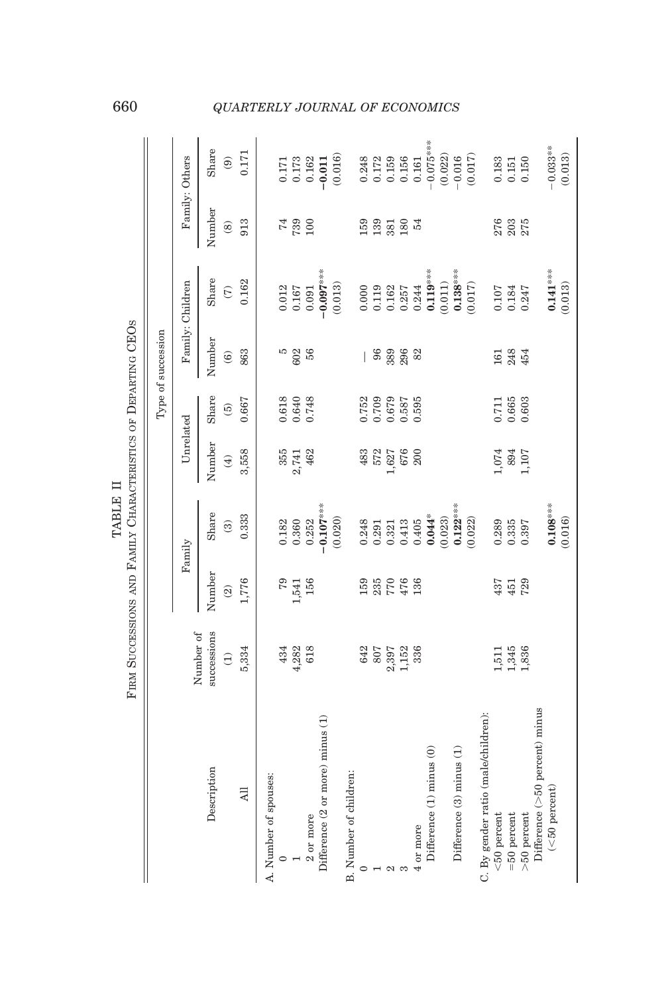|                                              | FIRM SUCCESSIONS AND FAMILY CHARACTERISTICS OF DEPARTING CEOS |                                    |                                 |                         |                        |                                  |                               |                       |                                 |
|----------------------------------------------|---------------------------------------------------------------|------------------------------------|---------------------------------|-------------------------|------------------------|----------------------------------|-------------------------------|-----------------------|---------------------------------|
|                                              |                                                               |                                    |                                 |                         |                        | Type of succession               |                               |                       |                                 |
|                                              | Number of                                                     |                                    | Family                          | Unrelated               |                        |                                  | Family: Children              |                       | Family: Others                  |
| Description                                  | successions<br>$\widehat{\Xi}$                                | Number<br>$\widehat{\mathfrak{A}}$ | Share<br>$\widehat{\mathbf{e}}$ | Number<br>$\widehat{f}$ | Share<br>$\widehat{5}$ | Number<br>$\widehat{\mathbf{e}}$ | Share<br>$\widehat{\epsilon}$ | Number<br>$\circledS$ | Share<br>$\widehat{\mathbf{e}}$ |
| All                                          | 5,334                                                         | 1,776                              | 0.333                           | 3,558                   | 0.667                  | 863                              | 0.162                         | 913                   | 0.171                           |
| A. Number of spouses:                        | 434                                                           | 79                                 | 0.182                           | 355                     | 0.618                  | 5                                | 0.012                         | 74                    | 0.171                           |
|                                              | 4,282                                                         | 1,541                              | 0.360                           | 2,741                   | 0.640                  | 602                              | 0.167                         | 739                   | 0.173                           |
| 2 or more                                    | 618                                                           | 156                                | 0.252                           | 462                     | 0.748                  | 56                               | 0.091                         | 100                   | 0.162                           |
| Difference $(2 \text{ or more})$ minus $(1)$ |                                                               |                                    | $-0.107***$<br>(0.020)          |                         |                        |                                  | $-0.097***$<br>(0.013)        |                       | (0.016)<br>$-0.011$             |
| B. Number of children:                       |                                                               |                                    |                                 |                         |                        |                                  |                               |                       |                                 |
| $\circ$                                      | 642                                                           | 159                                | 0.248                           | 483                     | 0.752                  |                                  | 0.000                         | 159                   | 0.248                           |
|                                              | 807                                                           | 235                                | 0.291                           | 572                     | 0.709                  | 96                               | 0.119                         | 139                   | 0.172                           |
| $\approx$                                    | 2,397                                                         | 770<br>476                         | 0.321                           | 1,627                   | 0.679                  | 389                              | 0.162                         | 381                   | 0.159                           |
|                                              | 1,152                                                         |                                    | 0.413                           | 676                     | 0.587                  | 296                              | 0.257                         | 180                   | 0.156                           |
| 4 or more                                    | 336                                                           | 136                                | 0.405                           | 200                     | 0.595                  | 82                               | 0.244                         | 54                    | 0.161                           |
| Difference $(1)$ minus $(0)$                 |                                                               |                                    | $0.044*$<br>(0.023)             |                         |                        |                                  | $0.119***$<br>(0.011)         |                       | $-0.075***$<br>(0.022)          |
| Difference (3) minus (1)                     |                                                               |                                    | $0.122***$<br>(0.022)           |                         |                        |                                  | $0.138***$<br>(0.017)         |                       | (0.017)<br>$-0.016$             |
| C. By gender ratio (male/children):          |                                                               |                                    |                                 |                         |                        |                                  |                               |                       |                                 |
| $50$ percent                                 | 1,511                                                         | 437                                | 0.289                           | 1,074                   | 0.711                  | 161                              | 0.107                         | 276                   | 0.183                           |
| $=50$ percent                                | 1,345                                                         | 451                                | 0.335                           | 894                     | 0.665                  | 248                              | 0.184                         | 203                   | 0.151                           |
| $>50$ percent                                | 1,836                                                         | 729                                | 0.397                           | 1,107                   | 0.603                  | 454                              | 0.247                         | 275                   | 0.150                           |
| Difference $(>50$ percent) minus             |                                                               |                                    |                                 |                         |                        |                                  |                               |                       |                                 |
| ( <b>50</b> percent)                         |                                                               |                                    | $0.108***$<br>(0.016)           |                         |                        |                                  | $0.141***$<br>(0.013)         |                       | $-0.033***$<br>(0.013)          |

TABLE $\Pi$ TABLE II

# 660 *QUARTERLY JOURNAL OF ECONOMICS*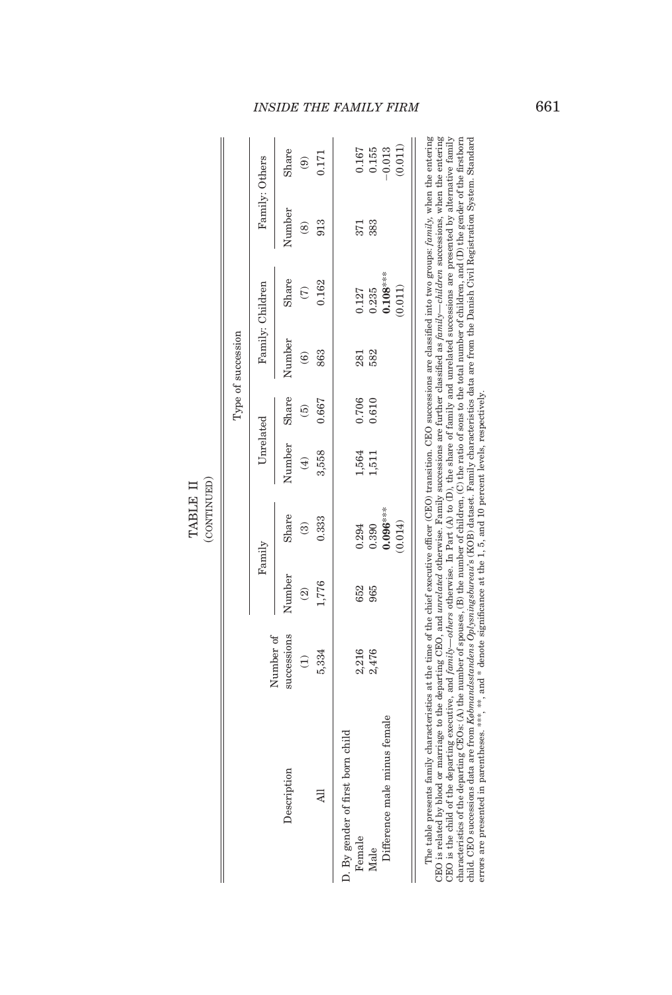|                                                                                                                                                                                                                                                                                                                                                                                      |                          |                                    | (CONTINUED)<br>TABLE II |                         |                        |                                  |                        |                         |                                 |
|--------------------------------------------------------------------------------------------------------------------------------------------------------------------------------------------------------------------------------------------------------------------------------------------------------------------------------------------------------------------------------------|--------------------------|------------------------------------|-------------------------|-------------------------|------------------------|----------------------------------|------------------------|-------------------------|---------------------------------|
|                                                                                                                                                                                                                                                                                                                                                                                      |                          |                                    |                         |                         |                        | Type of succession               |                        |                         |                                 |
|                                                                                                                                                                                                                                                                                                                                                                                      | Number of                |                                    | Family                  | Unrelated               |                        |                                  | Family: Children       |                         | Family: Others                  |
| Description                                                                                                                                                                                                                                                                                                                                                                          | successions<br>$\ominus$ | Number<br>$\widehat{\mathfrak{D}}$ | Share<br>ම              | Number<br>$\widehat{4}$ | Share<br>$\widehat{5}$ | Number<br>$\widehat{\mathbf{e}}$ | Share<br>$\widehat{C}$ | Number<br>$\circledast$ | Share<br>$\widehat{\mathbf{e}}$ |
| ₹                                                                                                                                                                                                                                                                                                                                                                                    | 5,334                    | 1,776                              | 0.333                   | 3,558                   | 0.667                  | 863                              | 0.162                  | 913                     | 0.171                           |
| D. By gender of first born child                                                                                                                                                                                                                                                                                                                                                     |                          |                                    |                         |                         |                        |                                  |                        |                         |                                 |
| Female                                                                                                                                                                                                                                                                                                                                                                               | 2,216                    | 652                                | 0.294                   | 1,564                   | 0.706                  | 281                              | 0.127                  | 371                     | 0.167                           |
| Male                                                                                                                                                                                                                                                                                                                                                                                 | 2,476                    | 965                                | 0.390                   | 1,511                   | 0.610                  | 582                              | 0.235                  | 383                     | 0.155                           |
| Difference male minus female                                                                                                                                                                                                                                                                                                                                                         |                          |                                    | $0.096***$              |                         |                        |                                  | $0.108***$             |                         | $-0.013$                        |
|                                                                                                                                                                                                                                                                                                                                                                                      |                          |                                    | (0.014)                 |                         |                        |                                  | 0.011                  |                         | (0.011)                         |
| The table presents family characteristics at the time of the chief executive officer (CEO) transition. CEO successions are classified into two groups: family, when the entering<br>CEO is related by blood or marriage to the departing CEO, and <i>unrelated</i> otherwise. Family successions are further classified as $fanh/y$ — <i>children</i> successions, when the entering |                          |                                    |                         |                         |                        |                                  |                        |                         |                                 |

CEO is the child of the departing executive, and  $f{amily}-others$  otherwise. In Part (A) to (D), the share of family and unrelated successions are presented by alternative family characteristics of the departing CEOs; (A) the ma CEO is the child of the departing executive, and *family—others* otherwise. In Part (A) to (D), the share of family and unrelated successions are presented by alternative family characteristics of the departing CEOs: (A) the number of spouses, (B) the number of children, (C) the ratio of sons to the total number of children, and (D) the gender of the firstborn child. CEO successions data are from *Købmandsstandens Oplysningsbureau*'s (KOB) dataset. Family characteristics data are from the Danish Civil Registration System. Standard errors are presented in parentheses. \*\*\*, \*\*, and \* denote significance at the 1, 5, and 10 percent levels, respectively.

# *INSIDE THE FAMILY FIRM* 661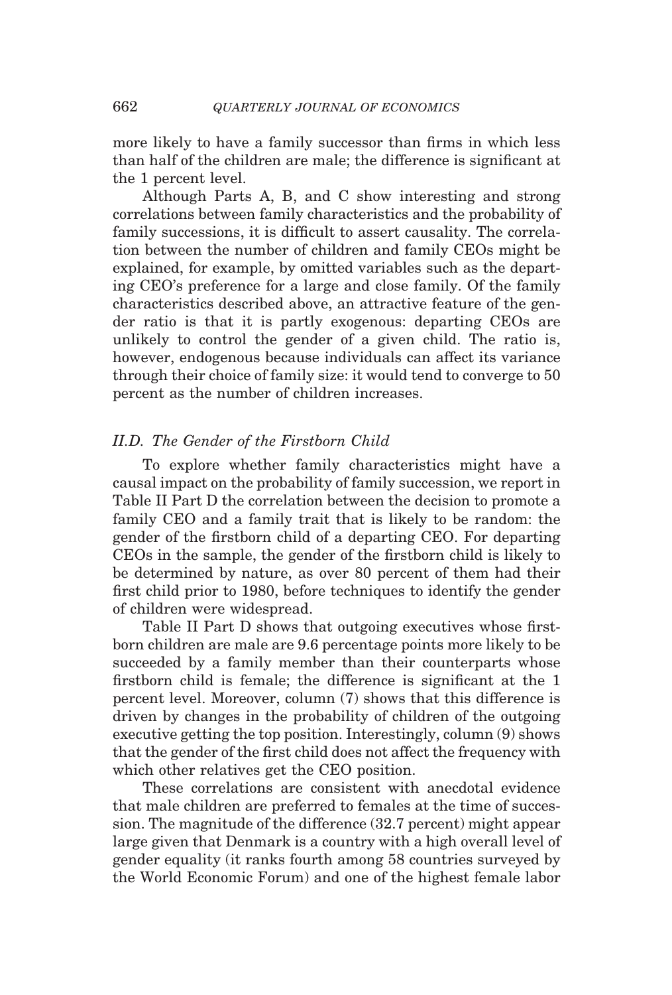more likely to have a family successor than firms in which less than half of the children are male; the difference is significant at the 1 percent level.

Although Parts A, B, and C show interesting and strong correlations between family characteristics and the probability of family successions, it is difficult to assert causality. The correlation between the number of children and family CEOs might be explained, for example, by omitted variables such as the departing CEO's preference for a large and close family. Of the family characteristics described above, an attractive feature of the gender ratio is that it is partly exogenous: departing CEOs are unlikely to control the gender of a given child. The ratio is, however, endogenous because individuals can affect its variance through their choice of family size: it would tend to converge to 50 percent as the number of children increases.

### *II.D. The Gender of the Firstborn Child*

To explore whether family characteristics might have a causal impact on the probability of family succession, we report in Table II Part D the correlation between the decision to promote a family CEO and a family trait that is likely to be random: the gender of the firstborn child of a departing CEO. For departing CEOs in the sample, the gender of the firstborn child is likely to be determined by nature, as over 80 percent of them had their first child prior to 1980, before techniques to identify the gender of children were widespread.

Table II Part D shows that outgoing executives whose firstborn children are male are 9.6 percentage points more likely to be succeeded by a family member than their counterparts whose firstborn child is female; the difference is significant at the 1 percent level. Moreover, column (7) shows that this difference is driven by changes in the probability of children of the outgoing executive getting the top position. Interestingly, column (9) shows that the gender of the first child does not affect the frequency with which other relatives get the CEO position.

These correlations are consistent with anecdotal evidence that male children are preferred to females at the time of succession. The magnitude of the difference (32.7 percent) might appear large given that Denmark is a country with a high overall level of gender equality (it ranks fourth among 58 countries surveyed by the World Economic Forum) and one of the highest female labor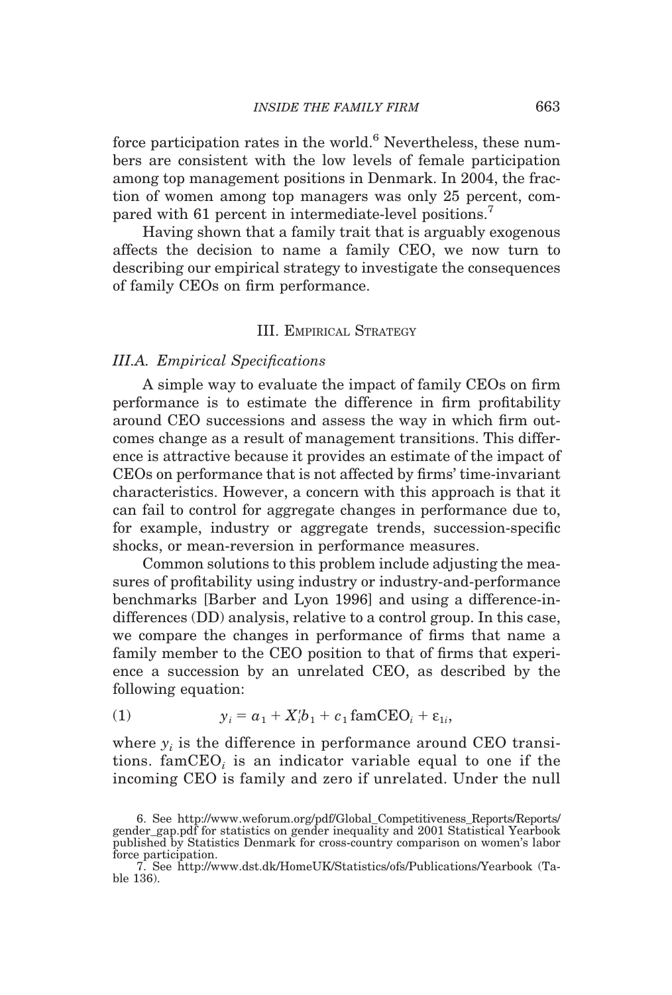force participation rates in the world. $6$  Nevertheless, these numbers are consistent with the low levels of female participation among top management positions in Denmark. In 2004, the fraction of women among top managers was only 25 percent, compared with 61 percent in intermediate-level positions.7

Having shown that a family trait that is arguably exogenous affects the decision to name a family CEO, we now turn to describing our empirical strategy to investigate the consequences of family CEOs on firm performance.

### III. EMPIRICAL STRATEGY

### *III.A. Empirical Specifications*

A simple way to evaluate the impact of family CEOs on firm performance is to estimate the difference in firm profitability around CEO successions and assess the way in which firm outcomes change as a result of management transitions. This difference is attractive because it provides an estimate of the impact of CEOs on performance that is not affected by firms' time-invariant characteristics. However, a concern with this approach is that it can fail to control for aggregate changes in performance due to, for example, industry or aggregate trends, succession-specific shocks, or mean-reversion in performance measures.

Common solutions to this problem include adjusting the measures of profitability using industry or industry-and-performance benchmarks [Barber and Lyon 1996] and using a difference-indifferences (DD) analysis, relative to a control group. In this case, we compare the changes in performance of firms that name a family member to the CEO position to that of firms that experience a succession by an unrelated CEO, as described by the following equation:

$$
(1) \t y_i = a_1 + X_i'b_1 + c_1 \text{famCEO}_i + \varepsilon_{1i},
$$

where  $y_i$  is the difference in performance around CEO transitions. famCEO<sub>i</sub> is an indicator variable equal to one if the incoming CEO is family and zero if unrelated. Under the null

<sup>6.</sup> See http://www.weforum.org/pdf/Global\_Competitiveness\_Reports/Reports/ gender\_gap.pdf for statistics on gender inequality and 2001 Statistical Yearbook published by Statistics Denmark for cross-country comparison on women's labor force participation.

<sup>7.</sup> See http://www.dst.dk/HomeUK/Statistics/ofs/Publications/Yearbook (Table 136).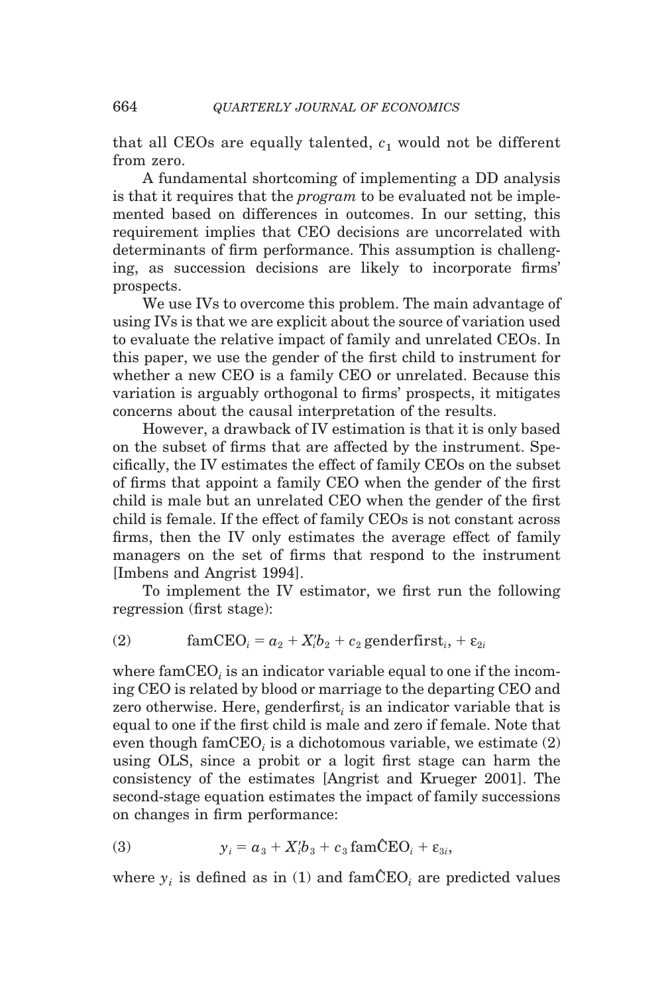that all CEOs are equally talented,  $c_1$  would not be different from zero.

A fundamental shortcoming of implementing a DD analysis is that it requires that the *program* to be evaluated not be implemented based on differences in outcomes. In our setting, this requirement implies that CEO decisions are uncorrelated with determinants of firm performance. This assumption is challenging, as succession decisions are likely to incorporate firms' prospects.

We use IVs to overcome this problem. The main advantage of using IVs is that we are explicit about the source of variation used to evaluate the relative impact of family and unrelated CEOs. In this paper, we use the gender of the first child to instrument for whether a new CEO is a family CEO or unrelated. Because this variation is arguably orthogonal to firms' prospects, it mitigates concerns about the causal interpretation of the results.

However, a drawback of IV estimation is that it is only based on the subset of firms that are affected by the instrument. Specifically, the IV estimates the effect of family CEOs on the subset of firms that appoint a family CEO when the gender of the first child is male but an unrelated CEO when the gender of the first child is female. If the effect of family CEOs is not constant across firms, then the IV only estimates the average effect of family managers on the set of firms that respond to the instrument [Imbens and Angrist 1994].

To implement the IV estimator, we first run the following regression (first stage):

(2) 
$$
\text{famCEO}_i = a_2 + X_i'b_2 + c_2 \text{genderfirst}_{i_1} + \varepsilon_{2i}
$$

where famCEO<sub>i</sub> is an indicator variable equal to one if the incoming CEO is related by blood or marriage to the departing CEO and zero otherwise. Here, genderfirst*<sup>i</sup>* is an indicator variable that is equal to one if the first child is male and zero if female. Note that even though famCEO*<sup>i</sup>* is a dichotomous variable, we estimate (2) using OLS, since a probit or a logit first stage can harm the consistency of the estimates [Angrist and Krueger 2001]. The second-stage equation estimates the impact of family successions on changes in firm performance:

(3) 
$$
y_i = a_3 + X_i'b_3 + c_3 \operatorname{fam} \widetilde{\mathbf{C}} \mathbf{E} \mathbf{O}_i + \varepsilon_{3i},
$$

where  $y_i$  is defined as in (1) and famCEO<sub>i</sub> are predicted values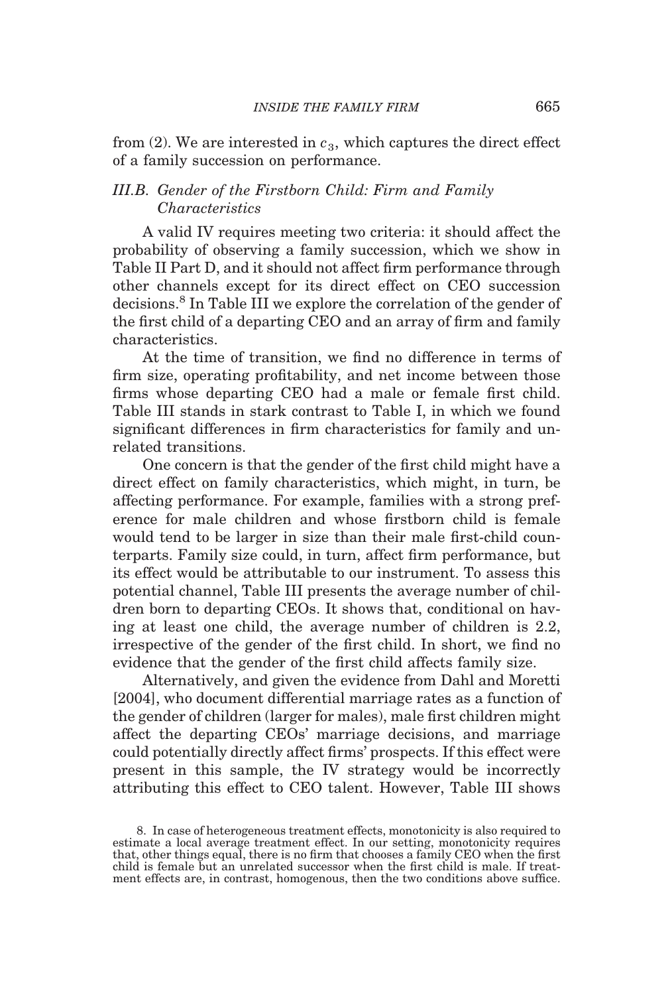from  $(2)$ . We are interested in  $c_3$ , which captures the direct effect of a family succession on performance.

## *III.B. Gender of the Firstborn Child: Firm and Family Characteristics*

A valid IV requires meeting two criteria: it should affect the probability of observing a family succession, which we show in Table II Part D, and it should not affect firm performance through other channels except for its direct effect on CEO succession decisions.8 In Table III we explore the correlation of the gender of the first child of a departing CEO and an array of firm and family characteristics.

At the time of transition, we find no difference in terms of firm size, operating profitability, and net income between those firms whose departing CEO had a male or female first child. Table III stands in stark contrast to Table I, in which we found significant differences in firm characteristics for family and unrelated transitions.

One concern is that the gender of the first child might have a direct effect on family characteristics, which might, in turn, be affecting performance. For example, families with a strong preference for male children and whose firstborn child is female would tend to be larger in size than their male first-child counterparts. Family size could, in turn, affect firm performance, but its effect would be attributable to our instrument. To assess this potential channel, Table III presents the average number of children born to departing CEOs. It shows that, conditional on having at least one child, the average number of children is 2.2, irrespective of the gender of the first child. In short, we find no evidence that the gender of the first child affects family size.

Alternatively, and given the evidence from Dahl and Moretti [2004], who document differential marriage rates as a function of the gender of children (larger for males), male first children might affect the departing CEOs' marriage decisions, and marriage could potentially directly affect firms' prospects. If this effect were present in this sample, the IV strategy would be incorrectly attributing this effect to CEO talent. However, Table III shows

<sup>8.</sup> In case of heterogeneous treatment effects, monotonicity is also required to estimate a local average treatment effect. In our setting, monotonicity requires that, other things equal, there is no firm that chooses a family CEO when the first child is female but an unrelated successor when the first child is male. If treatment effects are, in contrast, homogenous, then the two conditions above suffice.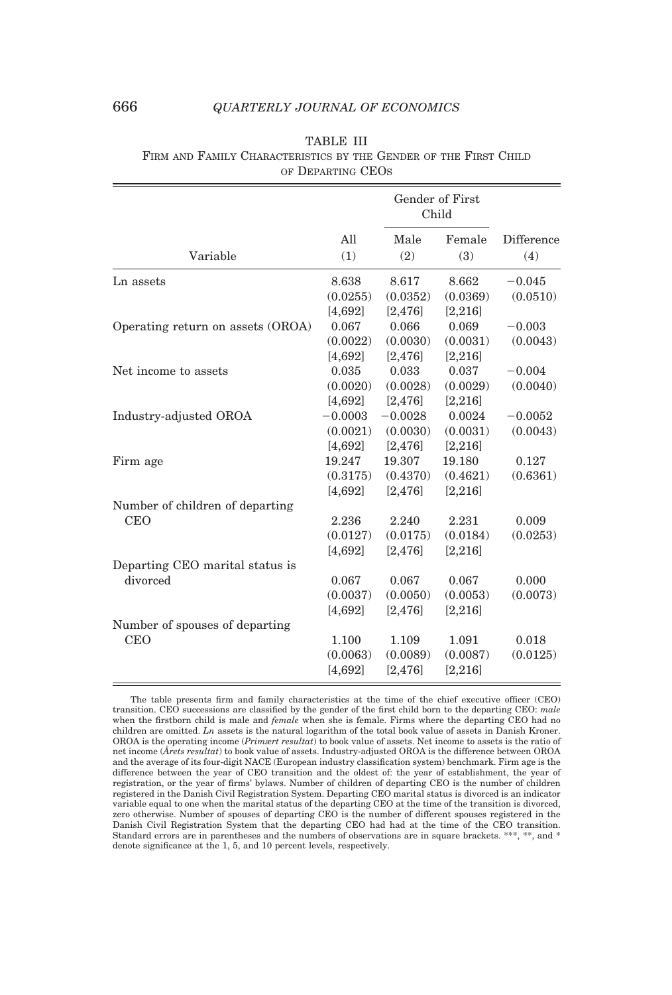|                                   |           |           | Gender of First<br>Child |            |
|-----------------------------------|-----------|-----------|--------------------------|------------|
|                                   | All       | Male      | Female                   | Difference |
| Variable                          | (1)       | (2)       | (3)                      | (4)        |
| Ln assets                         | 8.638     | 8.617     | 8.662                    | $-0.045$   |
|                                   | (0.0255)  | (0.0352)  | (0.0369)                 | (0.0510)   |
|                                   | [4,692]   | [2, 476]  | [2, 216]                 |            |
| Operating return on assets (OROA) | 0.067     | 0.066     | 0.069                    | $-0.003$   |
|                                   | (0.0022)  | (0.0030)  | (0.0031)                 | (0.0043)   |
|                                   | [4,692]   | [2, 476]  | [2, 216]                 |            |
| Net income to assets              | 0.035     | 0.033     | 0.037                    | $-0.004$   |
|                                   | (0.0020)  | (0.0028)  | (0.0029)                 | (0.0040)   |
|                                   | [4,692]   | [2, 476]  | [2, 216]                 |            |
| Industry-adjusted OROA            | $-0.0003$ | $-0.0028$ | 0.0024                   | $-0.0052$  |
|                                   | (0.0021)  | (0.0030)  | (0.0031)                 | (0.0043)   |
|                                   | [4,692]   | [2, 476]  | [2, 216]                 |            |
| Firm age                          | 19.247    | 19.307    | 19.180                   | 0.127      |
|                                   | (0.3175)  | (0.4370)  | (0.4621)                 | (0.6361)   |
|                                   | [4,692]   | [2, 476]  | [2, 216]                 |            |
| Number of children of departing   |           |           |                          |            |
| <b>CEO</b>                        | 2.236     | 2.240     | 2.231                    | 0.009      |
|                                   | (0.0127)  | (0.0175)  | (0.0184)                 | (0.0253)   |
|                                   | [4,692]   | [2, 476]  | [2, 216]                 |            |
| Departing CEO marital status is   |           |           |                          |            |
| divorced                          | 0.067     | 0.067     | 0.067                    | 0.000      |
|                                   | (0.0037)  | (0.0050)  | (0.0053)                 | (0.0073)   |
|                                   | [4,692]   | [2, 476]  | [2, 216]                 |            |
| Number of spouses of departing    |           |           |                          |            |
| CEO                               | 1.100     | 1.109     | 1.091                    | 0.018      |
|                                   | (0.0063)  | (0.0089)  | (0.0087)                 | (0.0125)   |
|                                   | [4,692]   | [2, 476]  | [2, 216]                 |            |

TABLE III FIRM AND FAMILY CHARACTERISTICS BY THE GENDER OF THE FIRST CHILD OF DEPARTING CEOS

The table presents firm and family characteristics at the time of the chief executive officer (CEO) transition. CEO successions are classified by the gender of the first child born to the departing CEO: *male* when the firstborn child is male and *female* when she is female. Firms where the departing CEO had no children are omitted. *Ln* assets is the natural logarithm of the total book value of assets in Danish Kroner. OROA is the operating income (*Primært resultat*) to book value of assets. Net income to assets is the ratio of net income (*Årets resultat*) to book value of assets. Industry-adjusted OROA is the difference between OROA and the average of its four-digit NACE (European industry classification system) benchmark. Firm age is the difference between the year of CEO transition and the oldest of: the year of establishment, the year of registration, or the year of firms' bylaws. Number of children of departing CEO is the number of children registered in the Danish Civil Registration System. Departing CEO marital status is divorced is an indicator variable equal to one when the marital status of the departing CEO at the time of the transition is divorced, zero otherwise. Number of spouses of departing CEO is the number of different spouses registered in the Danish Civil Registration System that the departing CEO had had at the time of the CEO transition. Standard errors are in parentheses and the numbers of observations are in square brackets. \*\*\*, \*\*, and \* denote significance at the 1, 5, and 10 percent levels, respectively.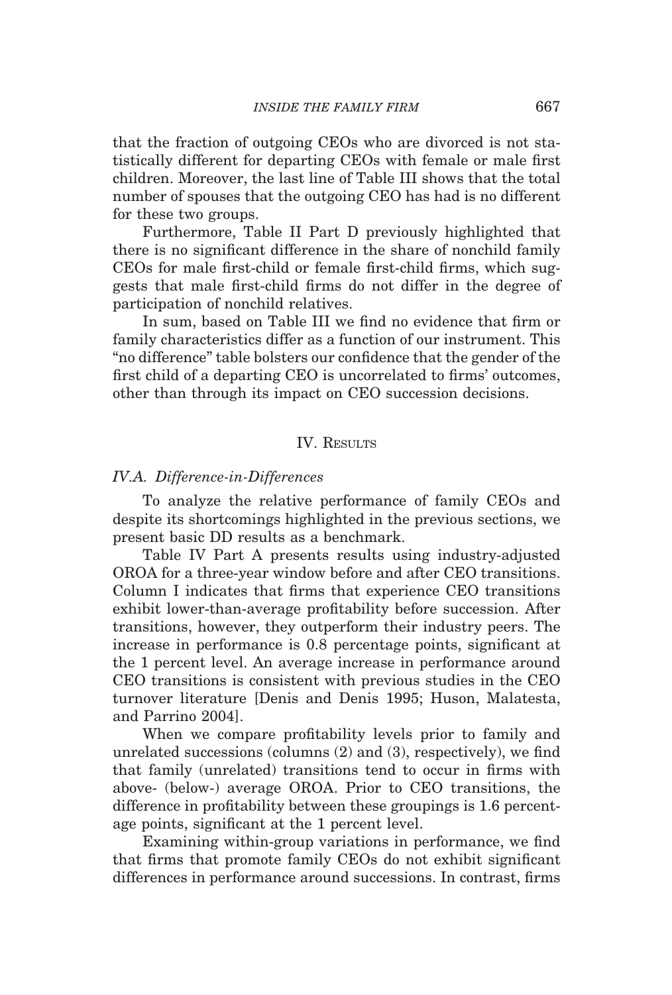that the fraction of outgoing CEOs who are divorced is not statistically different for departing CEOs with female or male first children. Moreover, the last line of Table III shows that the total number of spouses that the outgoing CEO has had is no different for these two groups.

Furthermore, Table II Part D previously highlighted that there is no significant difference in the share of nonchild family CEOs for male first-child or female first-child firms, which suggests that male first-child firms do not differ in the degree of participation of nonchild relatives.

In sum, based on Table III we find no evidence that firm or family characteristics differ as a function of our instrument. This "no difference" table bolsters our confidence that the gender of the first child of a departing CEO is uncorrelated to firms' outcomes, other than through its impact on CEO succession decisions.

### IV. RESULTS

#### *IV.A. Difference-in-Differences*

To analyze the relative performance of family CEOs and despite its shortcomings highlighted in the previous sections, we present basic DD results as a benchmark.

Table IV Part A presents results using industry-adjusted OROA for a three-year window before and after CEO transitions. Column I indicates that firms that experience CEO transitions exhibit lower-than-average profitability before succession. After transitions, however, they outperform their industry peers. The increase in performance is 0.8 percentage points, significant at the 1 percent level. An average increase in performance around CEO transitions is consistent with previous studies in the CEO turnover literature [Denis and Denis 1995; Huson, Malatesta, and Parrino 2004].

When we compare profitability levels prior to family and unrelated successions (columns (2) and (3), respectively), we find that family (unrelated) transitions tend to occur in firms with above- (below-) average OROA. Prior to CEO transitions, the difference in profitability between these groupings is 1.6 percentage points, significant at the 1 percent level.

Examining within-group variations in performance, we find that firms that promote family CEOs do not exhibit significant differences in performance around successions. In contrast, firms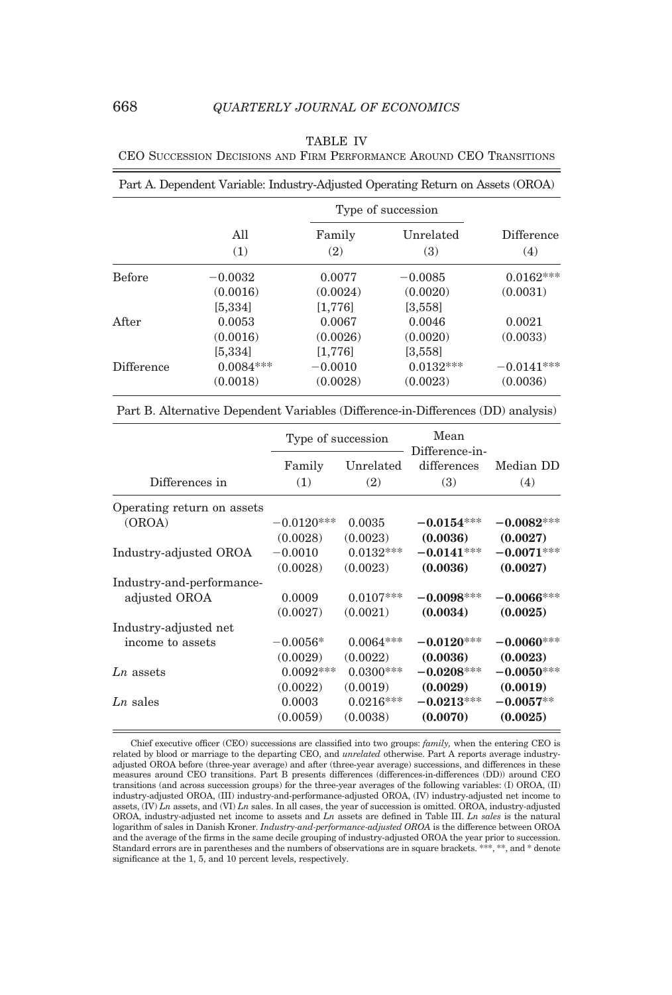| TABLE | TV |
|-------|----|
|-------|----|

#### CEO SUCCESSION DECISIONS AND FIRM PERFORMANCE AROUND CEO TRANSITIONS

|  |  |  |  |  | Part A. Dependent Variable: Industry-Adjusted Operating Return on Assets (OROA) |
|--|--|--|--|--|---------------------------------------------------------------------------------|
|--|--|--|--|--|---------------------------------------------------------------------------------|

|               |                                   |                                | Type of succession               |                          |
|---------------|-----------------------------------|--------------------------------|----------------------------------|--------------------------|
|               | All<br>(1)                        | Family<br>(2)                  | Unrelated<br>(3)                 | Difference<br>(4)        |
| <b>Before</b> | $-0.0032$<br>(0.0016)<br>[5, 334] | 0.0077<br>(0.0024)<br>[1, 776] | $-0.0085$<br>(0.0020)<br>[3,558] | $0.0162***$<br>(0.0031)  |
| After         | 0.0053<br>(0.0016)<br>[5, 334]    | 0.0067<br>(0.0026)<br>[1, 776] | 0.0046<br>(0.0020)<br>[3,558]    | 0.0021<br>(0.0033)       |
| Difference    | $0.0084***$<br>(0.0018)           | $-0.0010$<br>(0.0028)          | $0.0132***$<br>(0.0023)          | $-0.0141***$<br>(0.0036) |

|  |  |  | Part B. Alternative Dependent Variables (Difference-in-Differences (DD) analysis) |  |  |
|--|--|--|-----------------------------------------------------------------------------------|--|--|
|--|--|--|-----------------------------------------------------------------------------------|--|--|

|                            | Type of succession |                  | Mean                                 |                  |
|----------------------------|--------------------|------------------|--------------------------------------|------------------|
| Differences in             | Family<br>(1)      | Unrelated<br>(2) | Difference-in-<br>differences<br>(3) | Median DD<br>(4) |
| Operating return on assets |                    |                  |                                      |                  |
| (OROA)                     | $-0.0120***$       | 0.0035           | $-0.0154***$                         | $-0.0082***$     |
|                            | (0.0028)           | (0.0023)         | (0.0036)                             | (0.0027)         |
| Industry-adjusted OROA     | $-0.0010$          | $0.0132***$      | $-0.0141***$                         | $-0.0071***$     |
|                            | (0.0028)           | (0.0023)         | (0.0036)                             | (0.0027)         |
| Industry-and-performance-  |                    |                  |                                      |                  |
| adjusted OROA              | 0.0009             | $0.0107***$      | $-0.0098***$                         | $-0.0066***$     |
|                            | (0.0027)           | (0.0021)         | (0.0034)                             | (0.0025)         |
| Industry-adjusted net      |                    |                  |                                      |                  |
| income to assets           | $-0.0056*$         | $0.0064***$      | $-0.0120***$                         | $-0.0060***$     |
|                            | (0.0029)           | (0.0022)         | (0.0036)                             | (0.0023)         |
| $Ln$ assets                | $0.0092***$        | $0.0300***$      | $-0.0208***$                         | $-0.0050***$     |
|                            | (0.0022)           | (0.0019)         | (0.0029)                             | (0.0019)         |
| $Ln$ sales                 | 0.0003             | $0.0216***$      | $-0.0213***$                         | $-0.0057**$      |
|                            | (0.0059)           | (0.0038)         | (0.0070)                             | (0.0025)         |

Chief executive officer (CEO) successions are classified into two groups: *family,* when the entering CEO is related by blood or marriage to the departing CEO, and *unrelated* otherwise. Part A reports average industryadjusted OROA before (three-year average) and after (three-year average) successions, and differences in these measures around CEO transitions. Part B presents differences (differences-in-differences (DD)) around CEO transitions (and across succession groups) for the three-year averages of the following variables: (I) OROA, (II) industry-adjusted OROA, (III) industry-and-performance-adjusted OROA, (IV) industry-adjusted net income to assets, (IV) *Ln* assets, and (VI) *Ln* sales. In all cases, the year of succession is omitted. OROA, industry-adjusted OROA, industry-adjusted net income to assets and *Ln* assets are defined in Table III. *Ln sales* is the natural logarithm of sales in Danish Kroner. *Industry-and-performance-adjusted OROA* is the difference between OROA and the average of the firms in the same decile grouping of industry-adjusted OROA the year prior to succession. Standard errors are in parentheses and the numbers of observations are in square brackets. \*\*\*, \*\*, and \* denote significance at the 1, 5, and 10 percent levels, respectively.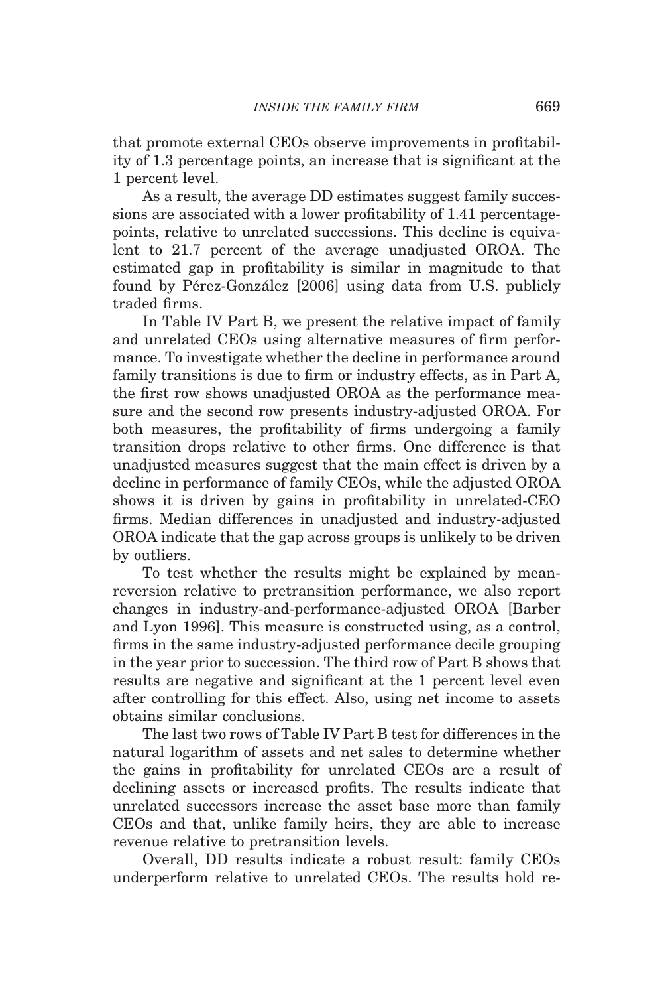that promote external CEOs observe improvements in profitability of 1.3 percentage points, an increase that is significant at the 1 percent level.

As a result, the average DD estimates suggest family successions are associated with a lower profitability of 1.41 percentagepoints, relative to unrelated successions. This decline is equivalent to 21.7 percent of the average unadjusted OROA. The estimated gap in profitability is similar in magnitude to that found by Pérez-González [2006] using data from U.S. publicly traded firms.

In Table IV Part B, we present the relative impact of family and unrelated CEOs using alternative measures of firm performance. To investigate whether the decline in performance around family transitions is due to firm or industry effects, as in Part A, the first row shows unadjusted OROA as the performance measure and the second row presents industry-adjusted OROA. For both measures, the profitability of firms undergoing a family transition drops relative to other firms. One difference is that unadjusted measures suggest that the main effect is driven by a decline in performance of family CEOs, while the adjusted OROA shows it is driven by gains in profitability in unrelated-CEO firms. Median differences in unadjusted and industry-adjusted OROA indicate that the gap across groups is unlikely to be driven by outliers.

To test whether the results might be explained by meanreversion relative to pretransition performance, we also report changes in industry-and-performance-adjusted OROA [Barber and Lyon 1996]. This measure is constructed using, as a control, firms in the same industry-adjusted performance decile grouping in the year prior to succession. The third row of Part B shows that results are negative and significant at the 1 percent level even after controlling for this effect. Also, using net income to assets obtains similar conclusions.

The last two rows of Table IV Part B test for differences in the natural logarithm of assets and net sales to determine whether the gains in profitability for unrelated CEOs are a result of declining assets or increased profits. The results indicate that unrelated successors increase the asset base more than family CEOs and that, unlike family heirs, they are able to increase revenue relative to pretransition levels.

Overall, DD results indicate a robust result: family CEOs underperform relative to unrelated CEOs. The results hold re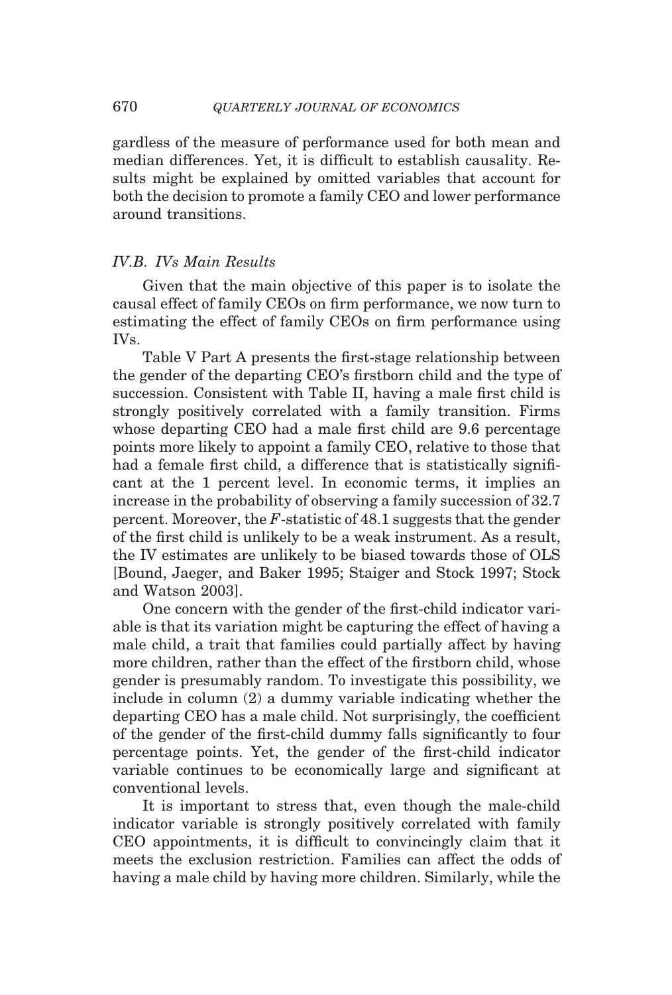gardless of the measure of performance used for both mean and median differences. Yet, it is difficult to establish causality. Results might be explained by omitted variables that account for both the decision to promote a family CEO and lower performance around transitions.

### *IV.B. IVs Main Results*

Given that the main objective of this paper is to isolate the causal effect of family CEOs on firm performance, we now turn to estimating the effect of family CEOs on firm performance using IVs.

Table V Part A presents the first-stage relationship between the gender of the departing CEO's firstborn child and the type of succession. Consistent with Table II, having a male first child is strongly positively correlated with a family transition. Firms whose departing CEO had a male first child are 9.6 percentage points more likely to appoint a family CEO, relative to those that had a female first child, a difference that is statistically significant at the 1 percent level. In economic terms, it implies an increase in the probability of observing a family succession of 32.7 percent. Moreover, the *F*-statistic of 48.1 suggests that the gender of the first child is unlikely to be a weak instrument. As a result, the IV estimates are unlikely to be biased towards those of OLS [Bound, Jaeger, and Baker 1995; Staiger and Stock 1997; Stock and Watson 2003].

One concern with the gender of the first-child indicator variable is that its variation might be capturing the effect of having a male child, a trait that families could partially affect by having more children, rather than the effect of the firstborn child, whose gender is presumably random. To investigate this possibility, we include in column (2) a dummy variable indicating whether the departing CEO has a male child. Not surprisingly, the coefficient of the gender of the first-child dummy falls significantly to four percentage points. Yet, the gender of the first-child indicator variable continues to be economically large and significant at conventional levels.

It is important to stress that, even though the male-child indicator variable is strongly positively correlated with family CEO appointments, it is difficult to convincingly claim that it meets the exclusion restriction. Families can affect the odds of having a male child by having more children. Similarly, while the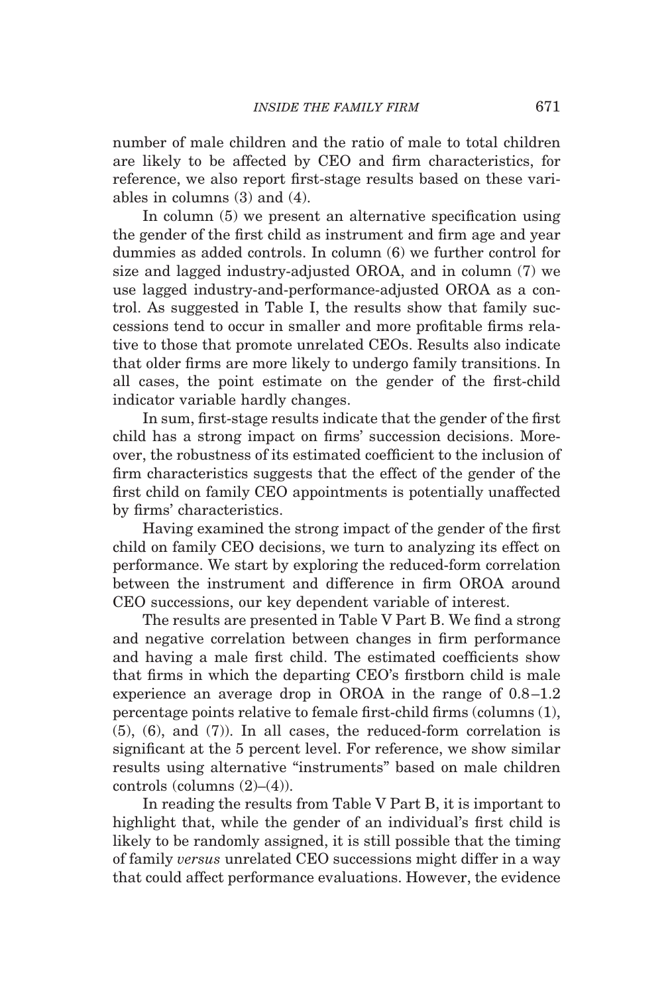number of male children and the ratio of male to total children are likely to be affected by CEO and firm characteristics, for reference, we also report first-stage results based on these variables in columns (3) and (4).

In column (5) we present an alternative specification using the gender of the first child as instrument and firm age and year dummies as added controls. In column (6) we further control for size and lagged industry-adjusted OROA, and in column (7) we use lagged industry-and-performance-adjusted OROA as a control. As suggested in Table I, the results show that family successions tend to occur in smaller and more profitable firms relative to those that promote unrelated CEOs. Results also indicate that older firms are more likely to undergo family transitions. In all cases, the point estimate on the gender of the first-child indicator variable hardly changes.

In sum, first-stage results indicate that the gender of the first child has a strong impact on firms' succession decisions. Moreover, the robustness of its estimated coefficient to the inclusion of firm characteristics suggests that the effect of the gender of the first child on family CEO appointments is potentially unaffected by firms' characteristics.

Having examined the strong impact of the gender of the first child on family CEO decisions, we turn to analyzing its effect on performance. We start by exploring the reduced-form correlation between the instrument and difference in firm OROA around CEO successions, our key dependent variable of interest.

The results are presented in Table V Part B. We find a strong and negative correlation between changes in firm performance and having a male first child. The estimated coefficients show that firms in which the departing CEO's firstborn child is male experience an average drop in OROA in the range of 0.8–1.2 percentage points relative to female first-child firms (columns (1), (5), (6), and (7)). In all cases, the reduced-form correlation is significant at the 5 percent level. For reference, we show similar results using alternative "instruments" based on male children controls (columns  $(2)–(4)$ ).

In reading the results from Table V Part B, it is important to highlight that, while the gender of an individual's first child is likely to be randomly assigned, it is still possible that the timing of family *versus* unrelated CEO successions might differ in a way that could affect performance evaluations. However, the evidence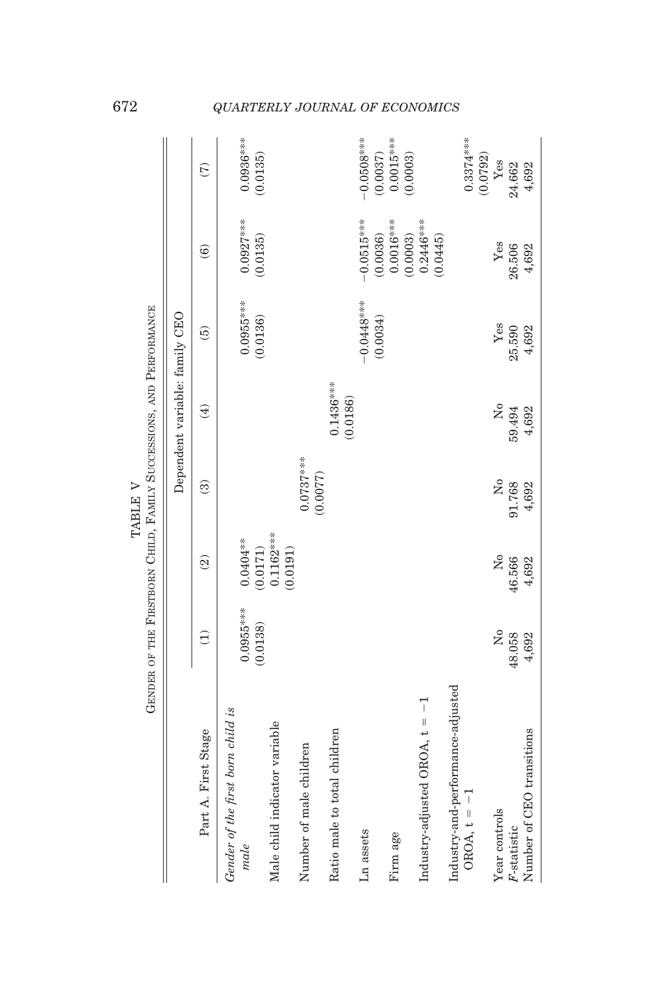|                                           | GENDER OF THE FIRSTBORN CHILD, FAMILY SUCCESSIONS, AND PERFORMANCE |                                     | TABLE V                 |                                |                         |                         |                         |
|-------------------------------------------|--------------------------------------------------------------------|-------------------------------------|-------------------------|--------------------------------|-------------------------|-------------------------|-------------------------|
|                                           |                                                                    |                                     |                         | Dependent variable: family CEO |                         |                         |                         |
| Part A. First Stage                       | $\widehat{\Xi}$                                                    | $\widehat{2}$                       | $\widehat{\mathcal{E}}$ | $\bigoplus$                    | $\widehat{5}$           | $\widehat{\mathbf{e}}$  | $\widehat{C}$           |
| Gender of the first born child is<br>male | $0.0955***$<br>(0.0138)                                            | $0.0404***$                         |                         |                                | $0.0955***$<br>(0.0136) | $0.0927***$<br>(0.0135) | $0.0936***$<br>(0.0135) |
| Male child indicator variable             |                                                                    | $0.1162***$<br>(0.0171)<br>(0.0191) |                         |                                |                         |                         |                         |
| Number of male children                   |                                                                    |                                     | $0.0737***$<br>(0.0077) |                                |                         |                         |                         |
| Ratio male to total children              |                                                                    |                                     |                         | $0.1436***$<br>(0.0186)        |                         |                         |                         |
| Ln assets                                 |                                                                    |                                     |                         |                                | $-0.0448***$            | $-0.0515***$            | $-0.0508***$            |
| Firm age                                  |                                                                    |                                     |                         |                                | (0.0034)                | $0.0016***$<br>(0.0036) | $0.0015***$<br>(0.0037) |
| Industry-adjusted OROA, $t = -1$          |                                                                    |                                     |                         |                                |                         | $0.2446***$<br>(0.0003) | (0.0003)                |
| Industry-and-performance-adjusted         |                                                                    |                                     |                         |                                |                         | (0.0445)                |                         |
| $OROA, t = -1$                            |                                                                    |                                     |                         |                                |                         |                         | $0.3374***$<br>(0.0792) |
| Year controls                             | $\tilde{\mathsf{z}}$                                               | ż                                   | ż                       | $\tilde{z}$                    | Yes                     | Yes                     | Yes                     |
| $F$ -statistic                            | 48.058                                                             | 46.566                              | 91.768                  | 59.494                         | 25.590                  | 26.506                  | 24.662                  |
| Number of CEO transitions                 | 4,692                                                              | 4,692                               | 4,692                   | 4,692                          | 4,692                   | 4,692                   | 4,692                   |

672 *QUARTERLY JOURNAL OF ECONOMICS*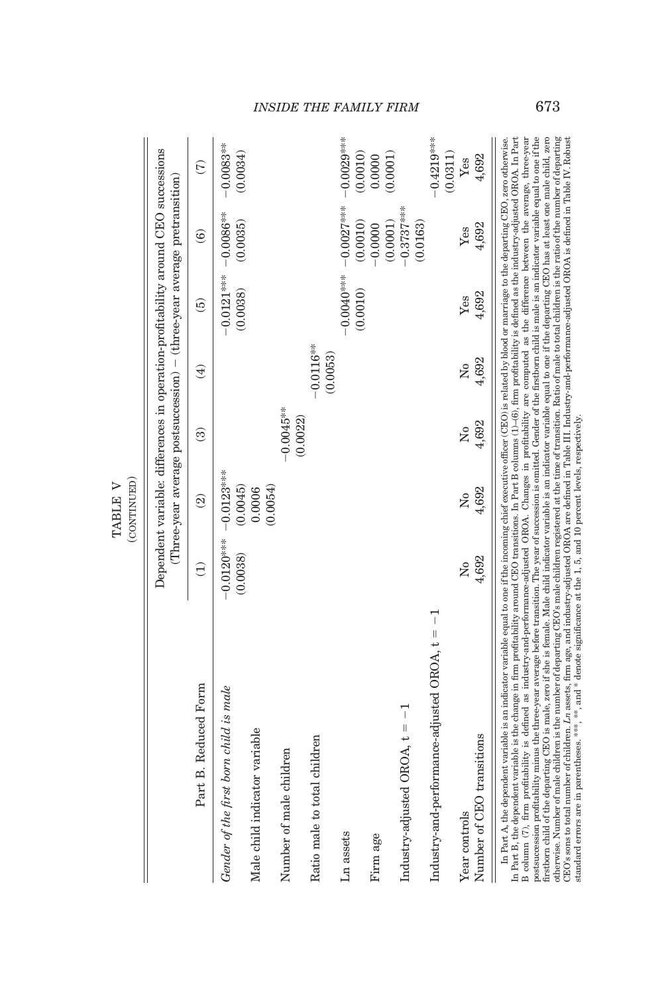|                                                                                                                                                                                                                                                                                                                                                                                                                                                                                                                                                                                                                                                                                                                                                                                                                                                                                                                                                                                                                                                                                                                                                                                                                                                                                                                                                                                                                                                                                                                          |                          |                          |                          |                          | Dependent variable: differences in operation-profitability around CEO successions<br>(Three-year average postsuccession) – (three-year average pretransition) |                                      |                          |
|--------------------------------------------------------------------------------------------------------------------------------------------------------------------------------------------------------------------------------------------------------------------------------------------------------------------------------------------------------------------------------------------------------------------------------------------------------------------------------------------------------------------------------------------------------------------------------------------------------------------------------------------------------------------------------------------------------------------------------------------------------------------------------------------------------------------------------------------------------------------------------------------------------------------------------------------------------------------------------------------------------------------------------------------------------------------------------------------------------------------------------------------------------------------------------------------------------------------------------------------------------------------------------------------------------------------------------------------------------------------------------------------------------------------------------------------------------------------------------------------------------------------------|--------------------------|--------------------------|--------------------------|--------------------------|---------------------------------------------------------------------------------------------------------------------------------------------------------------|--------------------------------------|--------------------------|
| Part B. Reduced Form                                                                                                                                                                                                                                                                                                                                                                                                                                                                                                                                                                                                                                                                                                                                                                                                                                                                                                                                                                                                                                                                                                                                                                                                                                                                                                                                                                                                                                                                                                     | $\widehat{\ominus}$      | $\widehat{S}$            | $\widehat{\mathbf{e}}$   | $\widehat{E}$            | $\widehat{\mathbf{e}}$                                                                                                                                        | $\widehat{\mathbf{e}}$               | $\widehat{C}$            |
| Gender of the first born child is male                                                                                                                                                                                                                                                                                                                                                                                                                                                                                                                                                                                                                                                                                                                                                                                                                                                                                                                                                                                                                                                                                                                                                                                                                                                                                                                                                                                                                                                                                   | $-0.0120***$<br>(0.0038) | $-0.0123***$<br>(0.0045) |                          |                          | $-0.0121***$<br>(0.0038)                                                                                                                                      | $-0.0086***$<br>(0.0035)             | $-0.0083***$<br>(0.0034) |
| Male child indicator variable                                                                                                                                                                                                                                                                                                                                                                                                                                                                                                                                                                                                                                                                                                                                                                                                                                                                                                                                                                                                                                                                                                                                                                                                                                                                                                                                                                                                                                                                                            |                          | (0.0054)<br>0.0006       |                          |                          |                                                                                                                                                               |                                      |                          |
| Number of male children                                                                                                                                                                                                                                                                                                                                                                                                                                                                                                                                                                                                                                                                                                                                                                                                                                                                                                                                                                                                                                                                                                                                                                                                                                                                                                                                                                                                                                                                                                  |                          |                          | $-0.0045***$<br>(0.0022) |                          |                                                                                                                                                               |                                      |                          |
| Ratio male to total children                                                                                                                                                                                                                                                                                                                                                                                                                                                                                                                                                                                                                                                                                                                                                                                                                                                                                                                                                                                                                                                                                                                                                                                                                                                                                                                                                                                                                                                                                             |                          |                          |                          | $-0.0116***$<br>(0.0053) |                                                                                                                                                               |                                      |                          |
| Ln assets                                                                                                                                                                                                                                                                                                                                                                                                                                                                                                                                                                                                                                                                                                                                                                                                                                                                                                                                                                                                                                                                                                                                                                                                                                                                                                                                                                                                                                                                                                                |                          |                          |                          |                          |                                                                                                                                                               | ****030010− ****L30010− ****0\$0010− |                          |
|                                                                                                                                                                                                                                                                                                                                                                                                                                                                                                                                                                                                                                                                                                                                                                                                                                                                                                                                                                                                                                                                                                                                                                                                                                                                                                                                                                                                                                                                                                                          |                          |                          |                          |                          | (0.0010)                                                                                                                                                      | (0.0010)                             | (0.0010)                 |
| Firm age                                                                                                                                                                                                                                                                                                                                                                                                                                                                                                                                                                                                                                                                                                                                                                                                                                                                                                                                                                                                                                                                                                                                                                                                                                                                                                                                                                                                                                                                                                                 |                          |                          |                          |                          |                                                                                                                                                               | $-0.0000$                            | 0.0000                   |
|                                                                                                                                                                                                                                                                                                                                                                                                                                                                                                                                                                                                                                                                                                                                                                                                                                                                                                                                                                                                                                                                                                                                                                                                                                                                                                                                                                                                                                                                                                                          |                          |                          |                          |                          |                                                                                                                                                               | (0.0001)                             | (0.0001)                 |
| Industry-adjusted OROA, $t = -1$                                                                                                                                                                                                                                                                                                                                                                                                                                                                                                                                                                                                                                                                                                                                                                                                                                                                                                                                                                                                                                                                                                                                                                                                                                                                                                                                                                                                                                                                                         |                          |                          |                          |                          |                                                                                                                                                               | $-0.3737***$                         |                          |
|                                                                                                                                                                                                                                                                                                                                                                                                                                                                                                                                                                                                                                                                                                                                                                                                                                                                                                                                                                                                                                                                                                                                                                                                                                                                                                                                                                                                                                                                                                                          |                          |                          |                          |                          |                                                                                                                                                               | (0.0163)                             |                          |
| Industry-and-performance-adjusted OROA, $t = -1$                                                                                                                                                                                                                                                                                                                                                                                                                                                                                                                                                                                                                                                                                                                                                                                                                                                                                                                                                                                                                                                                                                                                                                                                                                                                                                                                                                                                                                                                         |                          |                          |                          |                          |                                                                                                                                                               |                                      | $-0.4219***$             |
|                                                                                                                                                                                                                                                                                                                                                                                                                                                                                                                                                                                                                                                                                                                                                                                                                                                                                                                                                                                                                                                                                                                                                                                                                                                                                                                                                                                                                                                                                                                          |                          |                          |                          |                          |                                                                                                                                                               |                                      | (0.0311)                 |
| Year controls                                                                                                                                                                                                                                                                                                                                                                                                                                                                                                                                                                                                                                                                                                                                                                                                                                                                                                                                                                                                                                                                                                                                                                                                                                                                                                                                                                                                                                                                                                            | ž                        | Σ°                       | 2                        | $\tilde{z}$              | Yes                                                                                                                                                           | Yes                                  | Yes                      |
| Number of CEO transitions                                                                                                                                                                                                                                                                                                                                                                                                                                                                                                                                                                                                                                                                                                                                                                                                                                                                                                                                                                                                                                                                                                                                                                                                                                                                                                                                                                                                                                                                                                | 4,692                    | 4,692                    | 4,692                    | 4,692                    | 4,692                                                                                                                                                         | 4,692                                | 4,692                    |
| postsuccession profitability minus the three-year average before transition. The year of succession is omitted. Gender of the firstborn child is male is an indicator variable equal to one if the<br>firstborn child of the departing CEO is male, zero if she is female. Male child indicator variable is an indicator variable equal to one if the departing CEO has at least one male child, zero<br>otherwise. Number of male children is the number of departing CEO's male children registered at the time of transition. Ratio of male to total children is the ratio of the number of departing<br>In Part B, the dependent variable is the change in firm profitability around CEO transitions. In Part B columns (1)–(6), firm profitability is defined as the industry-adjusted OROA. In Part<br>B column (7), firm profitability is defined as industry-and-performance-adjusted OROA. Changes in profitability are computed as the difference between the average, three-year<br>In Part A, the dependent variable is an indicator variable equal to one if the incoming chief executive officer (CEO) is related by blood or marriage to the departing CEO, zero otherwise.<br>CEO's sons to total number of children. <i>In</i> assets, firm age, and industry-adjusted OROA are defined in Table III. Industry-and-performance-adjusted OROA is defined in Table IV. Robust<br>standard errors are in parentheses. ***, **, and * denote significance at the 1, 5, and 10 percent levels, respectively. |                          |                          |                          |                          |                                                                                                                                                               |                                      |                          |

(CONTINUED) (CONTINUED) TABLE V TABLE V

*INSIDE THE FAMILY FIRM* 673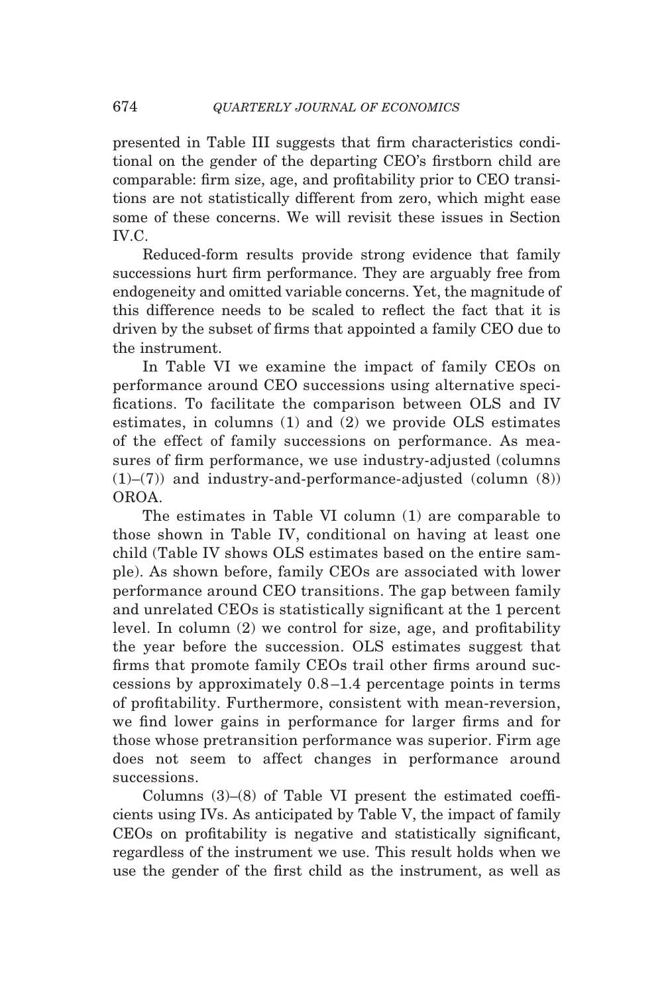presented in Table III suggests that firm characteristics conditional on the gender of the departing CEO's firstborn child are comparable: firm size, age, and profitability prior to CEO transitions are not statistically different from zero, which might ease some of these concerns. We will revisit these issues in Section IV.C.

Reduced-form results provide strong evidence that family successions hurt firm performance. They are arguably free from endogeneity and omitted variable concerns. Yet, the magnitude of this difference needs to be scaled to reflect the fact that it is driven by the subset of firms that appointed a family CEO due to the instrument.

In Table VI we examine the impact of family CEOs on performance around CEO successions using alternative specifications. To facilitate the comparison between OLS and IV estimates, in columns (1) and (2) we provide OLS estimates of the effect of family successions on performance. As measures of firm performance, we use industry-adjusted (columns (1)–(7)) and industry-and-performance-adjusted (column (8)) OROA.

The estimates in Table VI column (1) are comparable to those shown in Table IV, conditional on having at least one child (Table IV shows OLS estimates based on the entire sample). As shown before, family CEOs are associated with lower performance around CEO transitions. The gap between family and unrelated CEOs is statistically significant at the 1 percent level. In column (2) we control for size, age, and profitability the year before the succession. OLS estimates suggest that firms that promote family CEOs trail other firms around successions by approximately 0.8–1.4 percentage points in terms of profitability. Furthermore, consistent with mean-reversion, we find lower gains in performance for larger firms and for those whose pretransition performance was superior. Firm age does not seem to affect changes in performance around successions.

Columns (3)–(8) of Table VI present the estimated coefficients using IVs. As anticipated by Table V, the impact of family CEOs on profitability is negative and statistically significant, regardless of the instrument we use. This result holds when we use the gender of the first child as the instrument, as well as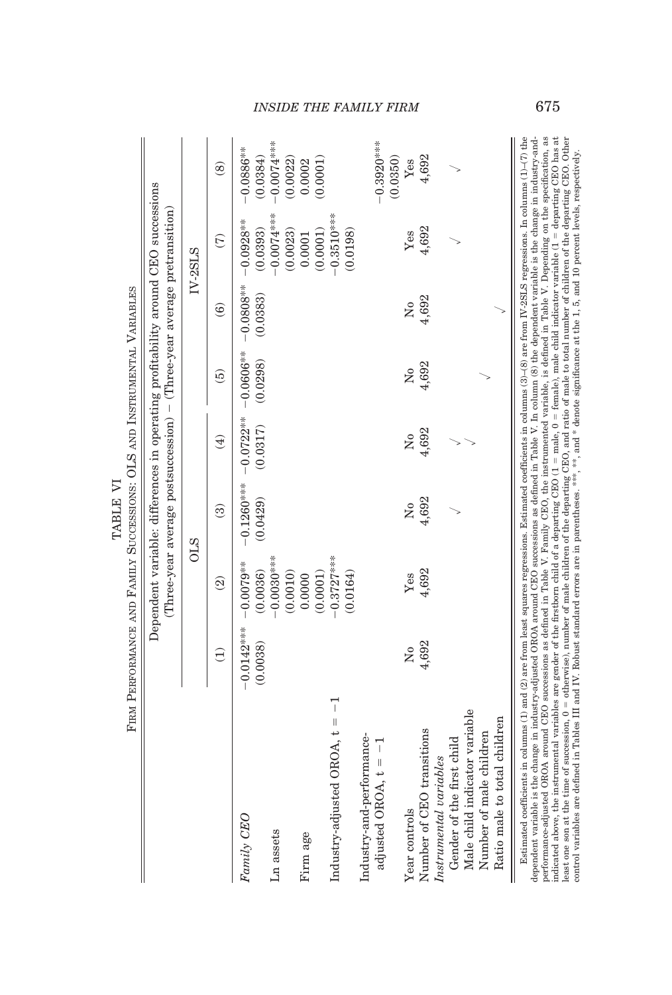|                                                                                                                                                                                                                                                                                                                                                                                                                                                                                                                                                                                                                                                                                                                                                                                                                                                                                                                                                                       | FIRM PERFORMANCE AND FAMILY SUCCESSIONS: OLS AND INSTRUMENTAL VARIABLES |                                      | Dependent variable: differences in operating profitability around CEO successions<br>(Three-year average postsuccession) – (Three-year average pretransition) |                         |                          |                          |                                      |                          |
|-----------------------------------------------------------------------------------------------------------------------------------------------------------------------------------------------------------------------------------------------------------------------------------------------------------------------------------------------------------------------------------------------------------------------------------------------------------------------------------------------------------------------------------------------------------------------------------------------------------------------------------------------------------------------------------------------------------------------------------------------------------------------------------------------------------------------------------------------------------------------------------------------------------------------------------------------------------------------|-------------------------------------------------------------------------|--------------------------------------|---------------------------------------------------------------------------------------------------------------------------------------------------------------|-------------------------|--------------------------|--------------------------|--------------------------------------|--------------------------|
|                                                                                                                                                                                                                                                                                                                                                                                                                                                                                                                                                                                                                                                                                                                                                                                                                                                                                                                                                                       |                                                                         |                                      | <b>OLS</b>                                                                                                                                                    |                         |                          |                          | $IV-2SLS$                            |                          |
|                                                                                                                                                                                                                                                                                                                                                                                                                                                                                                                                                                                                                                                                                                                                                                                                                                                                                                                                                                       | $\widehat{\Xi}$                                                         | $\widehat{S}$                        | ම                                                                                                                                                             | $\widehat{E}$           | $\widehat{5}$            | $\widehat{\mathbf{6}}$   | $\widehat{C}$                        | $\circledS$              |
| Family CEO                                                                                                                                                                                                                                                                                                                                                                                                                                                                                                                                                                                                                                                                                                                                                                                                                                                                                                                                                            | $-0.0142***$<br>(0.0038)                                                | $-0.0079**$<br>(0.0036)              | $-0.1260***$<br>(0.0429)                                                                                                                                      | $-0.0722**$<br>(0.0317) | $-0.0606***$<br>(0.0298) | $-0.0808***$<br>(0.0383) | $-0.0928***$<br>(0.0393)             | $-0.0886**$<br>(0.0384)  |
| Ln assets                                                                                                                                                                                                                                                                                                                                                                                                                                                                                                                                                                                                                                                                                                                                                                                                                                                                                                                                                             |                                                                         | $-0.0030**$<br>(0.0010)              |                                                                                                                                                               |                         |                          |                          | $-0.0074***$<br>(0.0023)             | $-0.0074***$<br>(0.0022) |
| Firm age                                                                                                                                                                                                                                                                                                                                                                                                                                                                                                                                                                                                                                                                                                                                                                                                                                                                                                                                                              |                                                                         | 0.0000                               |                                                                                                                                                               |                         |                          |                          | 0.0001                               | 0.0002                   |
| Industry-adjusted OROA, $t = -1$                                                                                                                                                                                                                                                                                                                                                                                                                                                                                                                                                                                                                                                                                                                                                                                                                                                                                                                                      |                                                                         | $-0.3727***$<br>(0.0001)<br>(0.0164) |                                                                                                                                                               |                         |                          |                          | $-0.3510***$<br>(0.0001)<br>(0.0198) | (0.0001)                 |
| Industry-and-performance-<br>adjusted OROA, $t = -1$                                                                                                                                                                                                                                                                                                                                                                                                                                                                                                                                                                                                                                                                                                                                                                                                                                                                                                                  |                                                                         |                                      |                                                                                                                                                               |                         |                          |                          |                                      | $-0.3920***$             |
| Year controls                                                                                                                                                                                                                                                                                                                                                                                                                                                                                                                                                                                                                                                                                                                                                                                                                                                                                                                                                         | ž                                                                       | Yes                                  | ž                                                                                                                                                             | ž                       | $\mathsf{\hat{z}}$       | ž                        | Yes                                  | (0.0350)<br>Yes          |
| Number of CEO transitions                                                                                                                                                                                                                                                                                                                                                                                                                                                                                                                                                                                                                                                                                                                                                                                                                                                                                                                                             | 4,692                                                                   | 4,692                                | 4,692                                                                                                                                                         | 4,692                   | 4,692                    | 4,692                    | 4,692                                | 4,692                    |
| Instrumental variables                                                                                                                                                                                                                                                                                                                                                                                                                                                                                                                                                                                                                                                                                                                                                                                                                                                                                                                                                |                                                                         |                                      |                                                                                                                                                               |                         |                          |                          |                                      |                          |
| Gender of the first child                                                                                                                                                                                                                                                                                                                                                                                                                                                                                                                                                                                                                                                                                                                                                                                                                                                                                                                                             |                                                                         |                                      |                                                                                                                                                               |                         |                          |                          |                                      |                          |
| Male child indicator variable                                                                                                                                                                                                                                                                                                                                                                                                                                                                                                                                                                                                                                                                                                                                                                                                                                                                                                                                         |                                                                         |                                      |                                                                                                                                                               |                         |                          |                          |                                      |                          |
| Number of male children                                                                                                                                                                                                                                                                                                                                                                                                                                                                                                                                                                                                                                                                                                                                                                                                                                                                                                                                               |                                                                         |                                      |                                                                                                                                                               |                         |                          |                          |                                      |                          |
| Ratio male to total children                                                                                                                                                                                                                                                                                                                                                                                                                                                                                                                                                                                                                                                                                                                                                                                                                                                                                                                                          |                                                                         |                                      |                                                                                                                                                               |                         |                          |                          |                                      |                          |
| Estimated coefficients in columns (1) and (2) are from least squares regressions. Estimated coefficients in columns (3)–(8) are from IV-2SLS regressions. In columns (1)–(7) the<br>dependent variable is the change in industry-adjusted OROA around CEO successions as defined in Table V. In column (8) the dependent variable is the change in industry-and-<br>performance-adjusted OROA around CEO successions as defined in Table V. Pamily CEO, the instrumented variable, is defined in Table V. Depending on the specification, as<br>indicated above, the instrumental variables are gender of the firstborn child of a departing CEO (1 = male, 0 = female), male child indicator variable (1 = departing CEO has at<br>least one son at the time of succession, 0 = otherwise), number of male children of the departing CEO, and ratio of male to total number of children of the departing CEO. Other<br>control variables are defined in Tables III a |                                                                         |                                      |                                                                                                                                                               |                         |                          |                          |                                      |                          |
|                                                                                                                                                                                                                                                                                                                                                                                                                                                                                                                                                                                                                                                                                                                                                                                                                                                                                                                                                                       |                                                                         |                                      |                                                                                                                                                               |                         |                          |                          |                                      |                          |

TABLE VI TABLE VI *INSIDE THE FAMILY FIRM* 675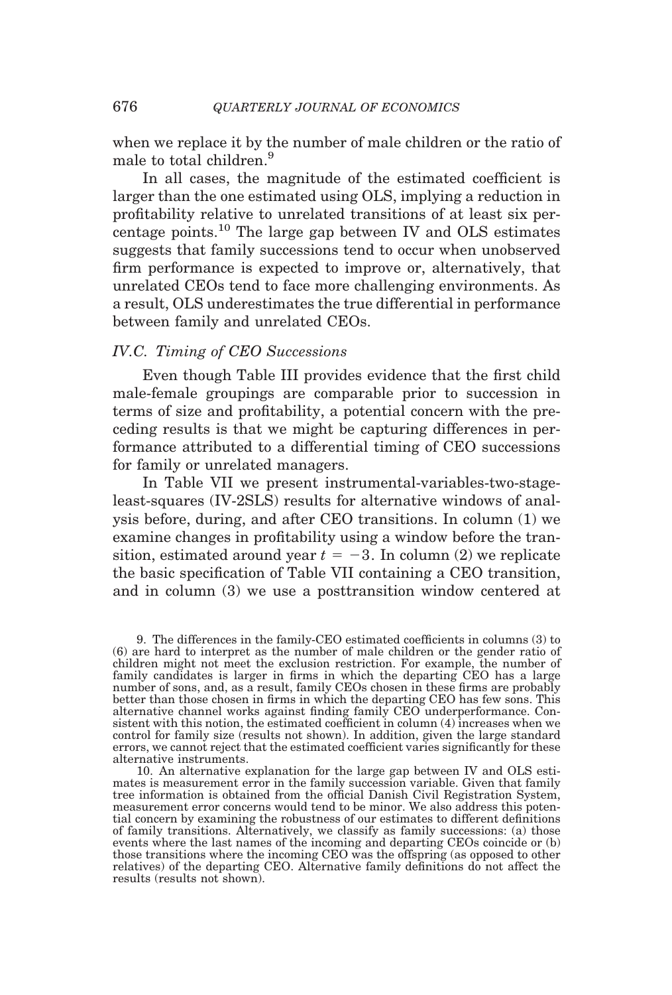when we replace it by the number of male children or the ratio of male to total children.<sup>9</sup>

In all cases, the magnitude of the estimated coefficient is larger than the one estimated using OLS, implying a reduction in profitability relative to unrelated transitions of at least six percentage points.10 The large gap between IV and OLS estimates suggests that family successions tend to occur when unobserved firm performance is expected to improve or, alternatively, that unrelated CEOs tend to face more challenging environments. As a result, OLS underestimates the true differential in performance between family and unrelated CEOs.

### *IV.C. Timing of CEO Successions*

Even though Table III provides evidence that the first child male-female groupings are comparable prior to succession in terms of size and profitability, a potential concern with the preceding results is that we might be capturing differences in performance attributed to a differential timing of CEO successions for family or unrelated managers.

In Table VII we present instrumental-variables-two-stageleast-squares (IV-2SLS) results for alternative windows of analysis before, during, and after CEO transitions. In column (1) we examine changes in profitability using a window before the transition, estimated around year  $t = -3$ . In column (2) we replicate the basic specification of Table VII containing a CEO transition, and in column (3) we use a posttransition window centered at

9. The differences in the family-CEO estimated coefficients in columns (3) to (6) are hard to interpret as the number of male children or the gender ratio of children might not meet the exclusion restriction. For example, the number of family candidates is larger in firms in which the departing CEO has a large number of sons, and, as a result, family CEOs chosen in these firms are probably better than those chosen in firms in which the departing CEO has few sons. This alternative channel works against finding family CEO underperformance. Consistent with this notion, the estimated coefficient in column (4) increases when we control for family size (results not shown). In addition, given the large standard errors, we cannot reject that the estimated coefficient varies significantly for these alternative instruments.

10. An alternative explanation for the large gap between IV and OLS estimates is measurement error in the family succession variable. Given that family tree information is obtained from the official Danish Civil Registration System, measurement error concerns would tend to be minor. We also address this potential concern by examining the robustness of our estimates to different definitions of family transitions. Alternatively, we classify as family successions: (a) those events where the last names of the incoming and departing CEOs coincide or (b) those transitions where the incoming CEO was the offspring (as opposed to other relatives) of the departing CEO. Alternative family definitions do not affect the results (results not shown).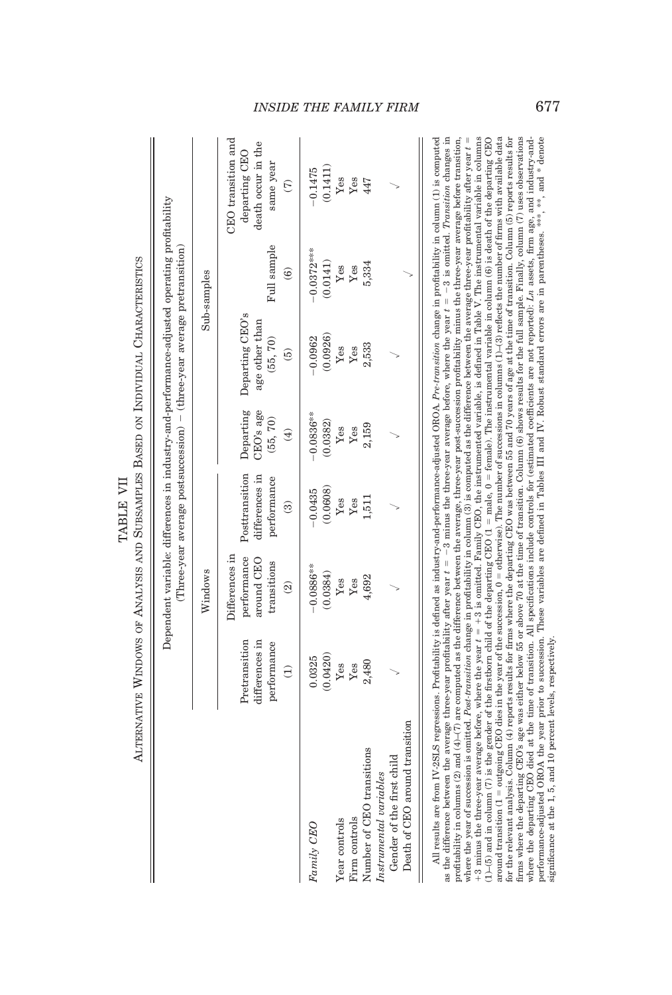| $\overline{a}$           |
|--------------------------|
|                          |
| ֖֚֚֚֡֬<br>֖֚֚֚֚֚֚֚֚֝֝֝֝֝ |
| i<br>I                   |
| Ì,                       |
| I                        |
|                          |
|                          |

 $\mathbf{II}$ 

। ਦੁ

 $\omega$ 

 $\overline{1}$ 

|                                                             |                                                |                                                            |                                                 |                         | Dependent variable: differences in industry-and-performance-adjusted operating profitability<br>(Three-year average postsuccession) – (three-year average pretransition) |                          |                                                                        |
|-------------------------------------------------------------|------------------------------------------------|------------------------------------------------------------|-------------------------------------------------|-------------------------|--------------------------------------------------------------------------------------------------------------------------------------------------------------------------|--------------------------|------------------------------------------------------------------------|
|                                                             |                                                | Windows                                                    |                                                 |                         |                                                                                                                                                                          | Sub-samples              |                                                                        |
|                                                             | differences in<br>Pretransition<br>performance | Differences in<br>performance<br>around CEO<br>transitions | Posttransition<br>differences in<br>performance | CEO's age<br>(55, 70)   | Departing Departing CEO's<br>age other than<br>(55, 70)                                                                                                                  | Full sample              | CEO transition and<br>death occur in the<br>departing CEO<br>same year |
|                                                             | $\widehat{\Xi}$                                | $\widehat{\mathfrak{D}}$                                   | ම                                               | $\bigoplus$             | $\widehat{5}$                                                                                                                                                            | $\widehat{\mathbf{e}}$   | $\widehat{C}$                                                          |
| Family CEO                                                  | (0.0420)<br>0.325                              | $-0.0886**$<br>(0.0384)                                    | (0.0608)<br>$-0.0435$                           | $-0.0836***$<br>0.0382) | (0.0926)<br>0.0962                                                                                                                                                       | $-0.0372***$<br>(0.0141) | (0.1411)<br>$-0.1475$                                                  |
| Year controls                                               | Yes                                            | Yes                                                        | Yes                                             | Yes                     | Yes                                                                                                                                                                      | ${\it Yes}$              | Yes                                                                    |
| Firm controls                                               | Yes                                            | Yes                                                        | Yes                                             | Yes                     | Yes                                                                                                                                                                      | Yes                      | ${\rm Yes}$                                                            |
| Number of CEO transitions<br>Instrumental variables         | 2,480                                          | 4,692                                                      | 1,511                                           | 2,159                   | 2,533                                                                                                                                                                    | 5,334                    | 447                                                                    |
| Death of CEO around transition<br>Gender of the first child |                                                |                                                            |                                                 |                         |                                                                                                                                                                          |                          |                                                                        |
|                                                             |                                                |                                                            |                                                 |                         |                                                                                                                                                                          |                          |                                                                        |

All results are from IV-2SLS regressions. Profitability is defined as industry-and-performance-adjusted OROA. Pre-transition change in profitability in column (1) is computed as the difference between the average three-year profitability after year  $t = -3$  minus the three-year average before, where the year  $t = -3$  is omitted. Transition changes in where the year of succession is omitted. Post-*transition* change in profitability in column (3) is computed as the difference between the average three-year profitability after year  $t = +3$  minus the three-year average be  $\mathbf{II}$ profitability in columns (2) and (4)–(7) are computed as the difference between the average, three-year post-succession profitability minus the three-year average before transition,  $(1)$ -(5) and in column (7) is the gender of the firstborn child of the departing CEO (1 = male, 0 = female). The instrumental variable in column (6) is death of the departing CEO around transition  $(1 = \text{outgoing CBO}$  dies in the year of the succession,  $0 = \text{otherwise}$ ). The number of successions in columns (1)–(3) reflects the number of firms with available data performance-adjusted OROA the year prior to succession. These variables are defined in Tables III and IV. Robust standard errors are in parentheses. \*\*\*, \*\* and \* denote All results are from IV-2SLS regressions. Profitability is defined as industry-and-performance-adjusted OROA. *Pre-transition* change in profitability in column (1) is computed as the difference between the average three-year profitability after year  $t = -3$  minus the three-year average before, where the year  $t = -3$  is omitted. *Transition* changes in around transition (1 = outgoing CEO dies in the year of the succession, 0 = otherwise). The number of successions in columns (1)–(3) reflects the number of firms with available data for the relevant analysis. Column (4) reports results for firms where the departing CEO was between 55 and 70 years of age at the time of transition. Column (5) reports results for for the relevant analysis. Column (4) reports results for firms where the departing CEO was between 55 and 70 years of age at the time of transition. Column (5) reports results for firms where the departing CEO's age was either below 55 or above 70 at the time of transition. Column (6) shows results for the full sample. Finally, column (7) uses observations where the departing CEO died at the time of transition. All specifications include controls for (estimated coefficients are not reported): *Ln* assets, firm age, and industry-andprofitability in columns (2) and (4)–(7) are computed as the difference between the average, three-year post-succession profitability minus the three-year average before transition, where the year of succession is omitted. *Post-transition* change in profitability in column (3) is computed as the difference between the average three-year profitability after year *t* = 3 minus the three-year average before, where the year *t* 3 is omitted. Family CEO, the instrumented variable, is defined in Table V. The instrumental variable in columns (1)–(5) and in column (7) is the gender of the firstborn child of the departing CEO (1 = male, 0 = female). The instrumental variable in column (6) is death of the departing CEO firms where the departing CEO's age was either below 55 or above 70 at the time of transition. Column (6) shows results for the full sample. Finally, column (7) uses observations where the departing CEO died at the time of transition. All specifications include controls for (estimated coefficients are not reported): *Ln* assets, firm age, and industry-andperformance-adjusted OROA the year prior to succession. These variables are defined in Tables III and IV. Robust standard errors are in parentheses. \*\*\*, \*\*, and \* denote significance at the 1, 5, and 10 percent levels, respectively. significance at the 1, 5, and 10 percent levels, respectively.

## *INSIDE THE FAMILY FIRM* 677

 $\overline{\phantom{a}}$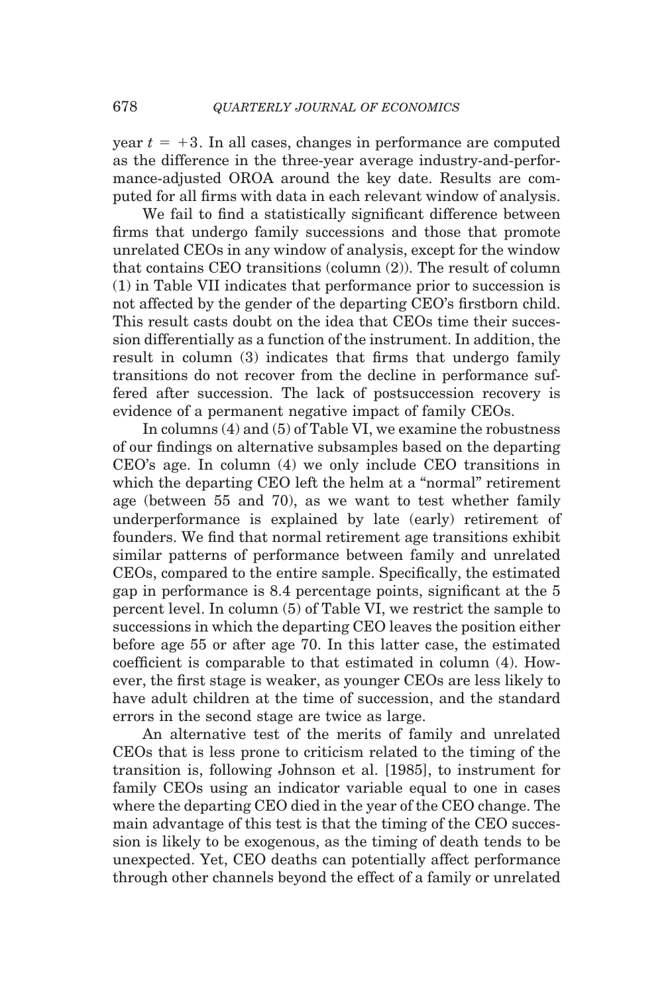year  $t = +3$ . In all cases, changes in performance are computed as the difference in the three-year average industry-and-performance-adjusted OROA around the key date. Results are computed for all firms with data in each relevant window of analysis.

We fail to find a statistically significant difference between firms that undergo family successions and those that promote unrelated CEOs in any window of analysis, except for the window that contains CEO transitions (column (2)). The result of column (1) in Table VII indicates that performance prior to succession is not affected by the gender of the departing CEO's firstborn child. This result casts doubt on the idea that CEOs time their succession differentially as a function of the instrument. In addition, the result in column (3) indicates that firms that undergo family transitions do not recover from the decline in performance suffered after succession. The lack of postsuccession recovery is evidence of a permanent negative impact of family CEOs.

In columns (4) and (5) of Table VI, we examine the robustness of our findings on alternative subsamples based on the departing CEO's age. In column (4) we only include CEO transitions in which the departing CEO left the helm at a "normal" retirement age (between 55 and 70), as we want to test whether family underperformance is explained by late (early) retirement of founders. We find that normal retirement age transitions exhibit similar patterns of performance between family and unrelated CEOs, compared to the entire sample. Specifically, the estimated gap in performance is 8.4 percentage points, significant at the 5 percent level. In column (5) of Table VI, we restrict the sample to successions in which the departing CEO leaves the position either before age 55 or after age 70. In this latter case, the estimated coefficient is comparable to that estimated in column (4). However, the first stage is weaker, as younger CEOs are less likely to have adult children at the time of succession, and the standard errors in the second stage are twice as large.

An alternative test of the merits of family and unrelated CEOs that is less prone to criticism related to the timing of the transition is, following Johnson et al. [1985], to instrument for family CEOs using an indicator variable equal to one in cases where the departing CEO died in the year of the CEO change. The main advantage of this test is that the timing of the CEO succession is likely to be exogenous, as the timing of death tends to be unexpected. Yet, CEO deaths can potentially affect performance through other channels beyond the effect of a family or unrelated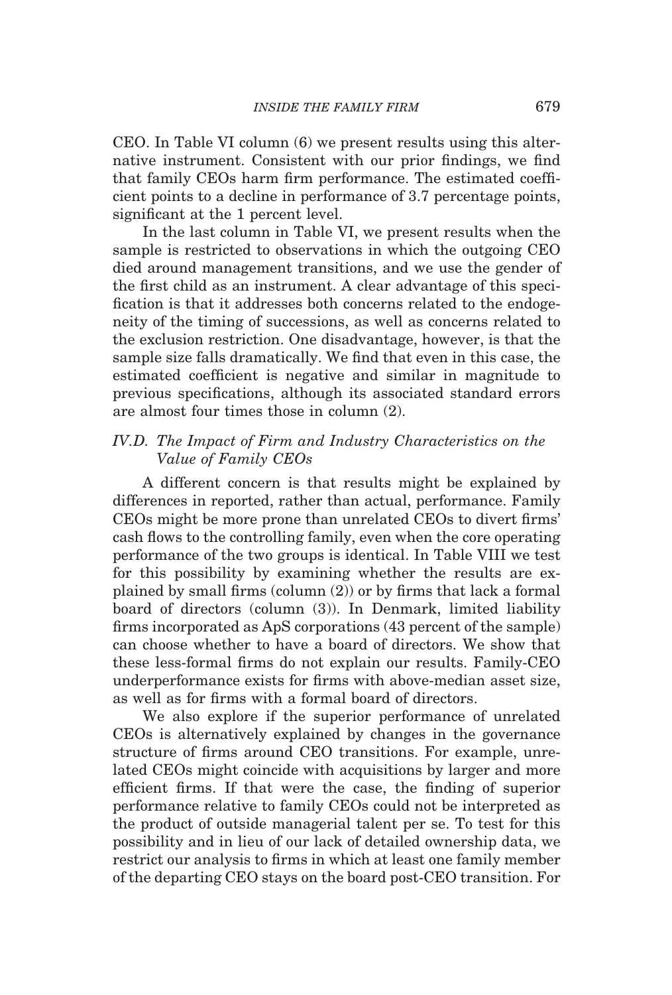CEO. In Table VI column (6) we present results using this alternative instrument. Consistent with our prior findings, we find that family CEOs harm firm performance. The estimated coefficient points to a decline in performance of 3.7 percentage points, significant at the 1 percent level.

In the last column in Table VI, we present results when the sample is restricted to observations in which the outgoing CEO died around management transitions, and we use the gender of the first child as an instrument. A clear advantage of this specification is that it addresses both concerns related to the endogeneity of the timing of successions, as well as concerns related to the exclusion restriction. One disadvantage, however, is that the sample size falls dramatically. We find that even in this case, the estimated coefficient is negative and similar in magnitude to previous specifications, although its associated standard errors are almost four times those in column (2).

### *IV.D. The Impact of Firm and Industry Characteristics on the Value of Family CEOs*

A different concern is that results might be explained by differences in reported, rather than actual, performance. Family CEOs might be more prone than unrelated CEOs to divert firms' cash flows to the controlling family, even when the core operating performance of the two groups is identical. In Table VIII we test for this possibility by examining whether the results are explained by small firms (column (2)) or by firms that lack a formal board of directors (column (3)). In Denmark, limited liability firms incorporated as ApS corporations (43 percent of the sample) can choose whether to have a board of directors. We show that these less-formal firms do not explain our results. Family-CEO underperformance exists for firms with above-median asset size, as well as for firms with a formal board of directors.

We also explore if the superior performance of unrelated CEOs is alternatively explained by changes in the governance structure of firms around CEO transitions. For example, unrelated CEOs might coincide with acquisitions by larger and more efficient firms. If that were the case, the finding of superior performance relative to family CEOs could not be interpreted as the product of outside managerial talent per se. To test for this possibility and in lieu of our lack of detailed ownership data, we restrict our analysis to firms in which at least one family member of the departing CEO stays on the board post-CEO transition. For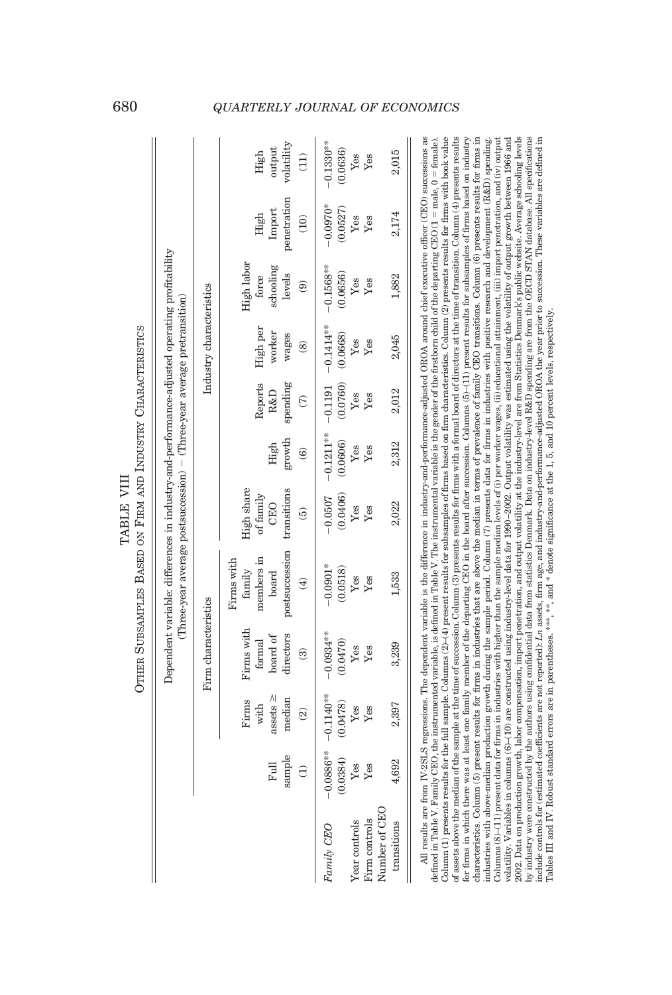|                                                             |                                                                          |                                                                                                                                                                                                      | volatility<br>output<br>High<br>$\left(11\right)$                                       | $-0.1330***$<br>(0.0636)<br>2,015<br>${\rm Yes}$<br>$Y$ es                   |                                                                                                                                           |
|-------------------------------------------------------------|--------------------------------------------------------------------------|------------------------------------------------------------------------------------------------------------------------------------------------------------------------------------------------------|-----------------------------------------------------------------------------------------|------------------------------------------------------------------------------|-------------------------------------------------------------------------------------------------------------------------------------------|
|                                                             |                                                                          | Import<br>High<br>Dependent variable: differences in industry-and-performance-adjusted operating profitability<br>High labor<br>schooling<br>force<br>Industry characteristics<br>High per<br>worker |                                                                                         | penetration<br>$\widehat{10}$                                                | $-0.0970*$<br>(0.0527)<br>2,174<br>${\rm Yes}$<br>${\it Yes}$                                                                             |
|                                                             |                                                                          |                                                                                                                                                                                                      |                                                                                         |                                                                              | levels<br>$\widehat{\mathbf{e}}$                                                                                                          |
|                                                             |                                                                          |                                                                                                                                                                                                      | wages<br>$\circledast$                                                                  | 2,045<br>Yes                                                                 |                                                                                                                                           |
| OTHER SUBSAMPLES BASED ON FIRM AND INDUSTRY CHARACTERISTICS | (Three-year average postsuccession) – (Three-year average pretransition) |                                                                                                                                                                                                      |                                                                                         | Reports<br>spending<br>R&D<br>$\widehat{\epsilon}$                           | $-0.121121191 - 0.119110 - 10.1568$ **<br>$\begin{array}{ccc} (0.0760) & (0.0668) \\ \text{Yes} & \text{Yes} \end{array}$<br>2,012<br>Yes |
|                                                             |                                                                          |                                                                                                                                                                                                      | growth<br>High<br>$\widehat{\mathbf{e}}$                                                | (0.0606)<br>2,312<br>${\it Yes}$<br>${\it Yes}$                              |                                                                                                                                           |
|                                                             |                                                                          |                                                                                                                                                                                                      | High share<br>transitions<br>of family<br><b>CEO</b><br>$\widehat{\mathbf{e}}$          | (0.0406)<br>$-0.0507$<br>2,022<br>${\rm Yes}$<br>Yes                         |                                                                                                                                           |
|                                                             |                                                                          |                                                                                                                                                                                                      | postsuccession<br>members in<br>Firms with<br>family<br>board<br>$\widehat{\mathbf{f}}$ | $-0.0901*$<br>(0.0518)<br>1,533<br>${\it Yes}$<br>Yes                        |                                                                                                                                           |
|                                                             |                                                                          | Firm characteristics                                                                                                                                                                                 | Firms with<br>directors<br>board of<br>formal<br>$\widehat{\mathbf{e}}$                 | $-0.0934***$<br>(0.0470)<br>3,239<br>${\it Yes}$<br>Yes                      |                                                                                                                                           |
|                                                             |                                                                          |                                                                                                                                                                                                      | $a$ ssets $\geq$<br>median<br>Firms<br>with<br>$\widehat{\mathfrak{D}}$                 | (0.0478)<br>2,397<br>${\it Yes}$<br>$Y$ es                                   |                                                                                                                                           |
|                                                             |                                                                          |                                                                                                                                                                                                      | sample<br>Full<br>$\widehat{\Xi}$                                                       | $-0.0886**-0.1140**$<br>(0.0384)<br>4,692<br>${\rm Yes}$<br>$Y$ es           |                                                                                                                                           |
|                                                             |                                                                          |                                                                                                                                                                                                      |                                                                                         | Number of CEO<br>Firm controls<br>Year controls<br>transitions<br>Family CEO |                                                                                                                                           |

for firms in which there was at least one family member of the departing CEO in the board after succession. Columns (5)–(11) present results for subsamples of firms based on industry characteristics. Column (5) present re industries with above-median production growth during the sample period. Column (7) presents data for firms in industries with positive research and development (R&D) spending.<br>Columns (8)–(11) present data for firms in in All results are from IV-2SLS regressions. The dependent variable is the difference in industry-and-performance-adjusted OROA around chief executive officer (CBO) successions as defined in Table V. Pamily CBO, the instrumented variable, is defined in Table V. The instrumental variable is the gender of the firstborn child of the departing CBO (1 = male, 0 = female). Column (1) presents results for the full sample. Columns (2)–(4) present results for subsamples of firms based on firm characteristics. Column (2) presents results for firms with book value Column (1) presents results for the full sample. Columns (2)–(4) present results for subsamples of firms based on firm characteristics. Column (2) presents results for firms with book value of assets above the median of the sample at the time of succession. Column (3) presents results for firms with a formal board of directors at the time of transition. Column (4) presents results for firms in which there was at least one family member of the departing CEO in the board after succession. Columns (5)–(11) present results for subsamples of firms based on industry characteristics. Column (5) present results for firms in industries that are above the median in terms of prevalence of family CEO transitions. Column (6) presents results for firms in Columns (8)–(11) present data for firms in industries with higher than the sample median levels of (i) per worker wages, (ii) educational attainment, (iii) import penetration, and (iv) output volatility. Variables in columns (6)–(10) are constructed using industry-level data for 1990–2002. Output volatility was estimated using the volatility of output growth between 1966 and volatility. Variables in columns (6)–(10) are constructed using industry-level data for 1990–2002. Output volatility was estimated using the volatility of output growth between 1966 and 2002. Data on production growth, labor compensation, import penetration, and output volatility at the industry-level are from Statistics Denmark's public website. Average schooling levels by industry were constructed by the authors using confidential data from statistics Demmark. Data on industry-level R&D spending are from the OBCD STAN database. All specifications include controls for (estimated coefficients are not reported): Ln assets, firm age, and industry-and-performance-adjusted OROA the year prior to succession. These variables are defined in include controls for (estimated coefficients are not reported): *Ln* assets, firm age, and industry-and-performance-adjusted OROA the year prior to succession. These variables are defined in All results are from IV-2SLS regressions. The dependent variable is the difference in industry-and-performance-adjusted OROA around chief executive officer (CEO) successions as defined in Table V. Family CEO, the instrumented variable, is defined in Table V. The instrumental variable is the gender of the firstborn child of the departing CEO (1 = male, 0 = female). of assets above the median of the sample at the time of succession. Column (3) presents results for firms with a formal board of directors at the time of transition. Column (4) presents results industries with above-median production growth during the sample period. Column (7) presents data for firms in industries with positive research and development (R&D) spending. 2002. Data on production growth, labor compensation, import penetration, and output volatility at the industry-level are from Statistics Denmark's public website. Average schooling levels by industry were constructed by the authors using confidential data from statistics Denmark. Data on industry-level R&D spending are from the OECD STAN database. All specifications Tables III and IV. Robust standard errors are in parentheses. \*\*\*, \*\*, and \* denote significance at the 1, 5, and 10 percent levels, respectively. Tables III and IV. Robust standard errors are in parentheses. \*\*\*, \*\*, and \* denote significance at the 1, 5, and 10 percent levels, respectively.

### 680 *QUARTERLY JOURNAL OF ECONOMICS*

TABLE VIII

TABLE VIII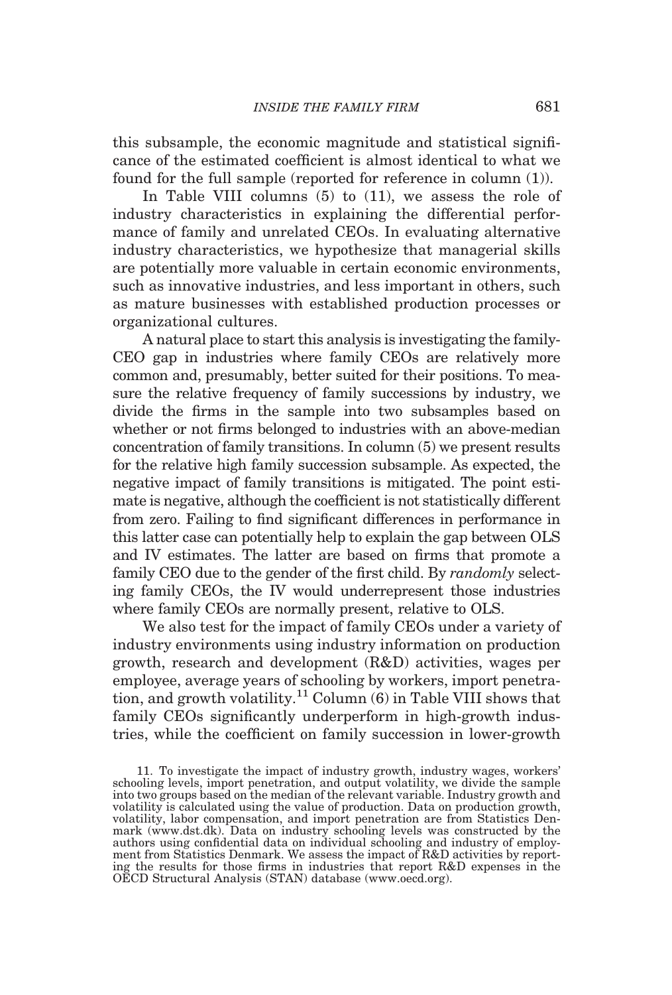this subsample, the economic magnitude and statistical significance of the estimated coefficient is almost identical to what we found for the full sample (reported for reference in column (1)).

In Table VIII columns (5) to (11), we assess the role of industry characteristics in explaining the differential performance of family and unrelated CEOs. In evaluating alternative industry characteristics, we hypothesize that managerial skills are potentially more valuable in certain economic environments, such as innovative industries, and less important in others, such as mature businesses with established production processes or organizational cultures.

A natural place to start this analysis is investigating the family-CEO gap in industries where family CEOs are relatively more common and, presumably, better suited for their positions. To measure the relative frequency of family successions by industry, we divide the firms in the sample into two subsamples based on whether or not firms belonged to industries with an above-median concentration of family transitions. In column (5) we present results for the relative high family succession subsample. As expected, the negative impact of family transitions is mitigated. The point estimate is negative, although the coefficient is not statistically different from zero. Failing to find significant differences in performance in this latter case can potentially help to explain the gap between OLS and IV estimates. The latter are based on firms that promote a family CEO due to the gender of the first child. By *randomly* selecting family CEOs, the IV would underrepresent those industries where family CEOs are normally present, relative to OLS.

We also test for the impact of family CEOs under a variety of industry environments using industry information on production growth, research and development (R&D) activities, wages per employee, average years of schooling by workers, import penetration, and growth volatility.11 Column (6) in Table VIII shows that family CEOs significantly underperform in high-growth industries, while the coefficient on family succession in lower-growth

<sup>11.</sup> To investigate the impact of industry growth, industry wages, workers' schooling levels, import penetration, and output volatility, we divide the sample into two groups based on the median of the relevant variable. Industry growth and volatility is calculated using the value of production. Data on production growth, volatility, labor compensation, and import penetration are from Statistics Denmark (www.dst.dk). Data on industry schooling levels was constructed by the authors using confidential data on individual schooling and industry of employment from Statistics Denmark. We assess the impact of R&D activities by reporting the results for those firms in industries that report R&D expenses in the OECD Structural Analysis (STAN) database (www.oecd.org).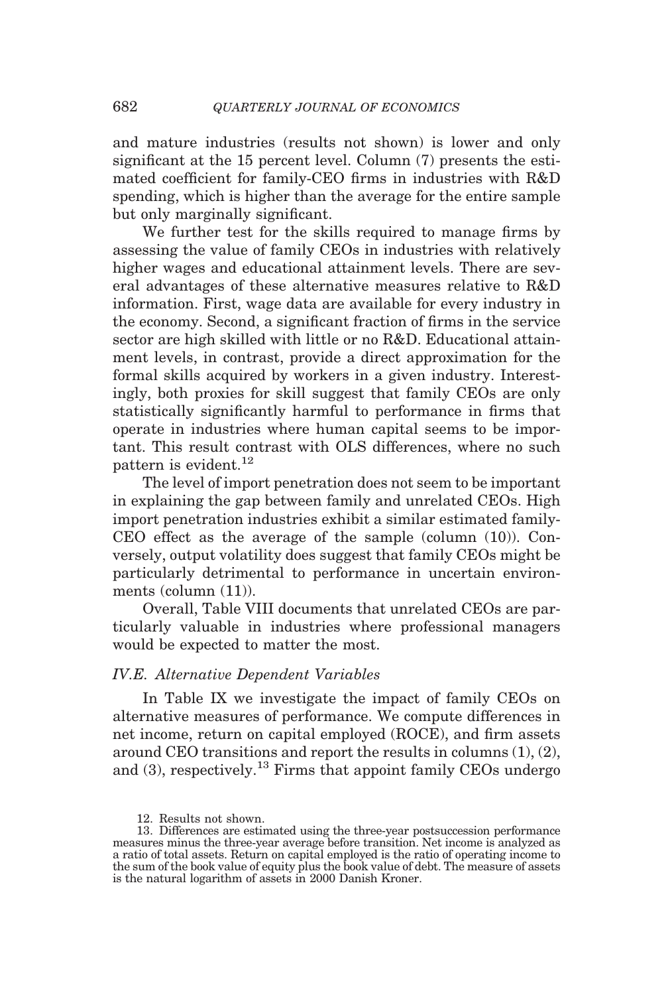and mature industries (results not shown) is lower and only significant at the 15 percent level. Column (7) presents the estimated coefficient for family-CEO firms in industries with R&D spending, which is higher than the average for the entire sample but only marginally significant.

We further test for the skills required to manage firms by assessing the value of family CEOs in industries with relatively higher wages and educational attainment levels. There are several advantages of these alternative measures relative to R&D information. First, wage data are available for every industry in the economy. Second, a significant fraction of firms in the service sector are high skilled with little or no R&D. Educational attainment levels, in contrast, provide a direct approximation for the formal skills acquired by workers in a given industry. Interestingly, both proxies for skill suggest that family CEOs are only statistically significantly harmful to performance in firms that operate in industries where human capital seems to be important. This result contrast with OLS differences, where no such pattern is evident.<sup>12</sup>

The level of import penetration does not seem to be important in explaining the gap between family and unrelated CEOs. High import penetration industries exhibit a similar estimated family-CEO effect as the average of the sample (column (10)). Conversely, output volatility does suggest that family CEOs might be particularly detrimental to performance in uncertain environments (column (11)).

Overall, Table VIII documents that unrelated CEOs are particularly valuable in industries where professional managers would be expected to matter the most.

#### *IV.E. Alternative Dependent Variables*

In Table IX we investigate the impact of family CEOs on alternative measures of performance. We compute differences in net income, return on capital employed (ROCE), and firm assets around CEO transitions and report the results in columns (1), (2), and  $(3)$ , respectively.<sup>13</sup> Firms that appoint family CEOs undergo

<sup>12.</sup> Results not shown.

<sup>13.</sup> Differences are estimated using the three-year postsuccession performance measures minus the three-year average before transition. Net income is analyzed as a ratio of total assets. Return on capital employed is the ratio of operating income to the sum of the book value of equity plus the book value of debt. The measure of assets is the natural logarithm of assets in 2000 Danish Kroner.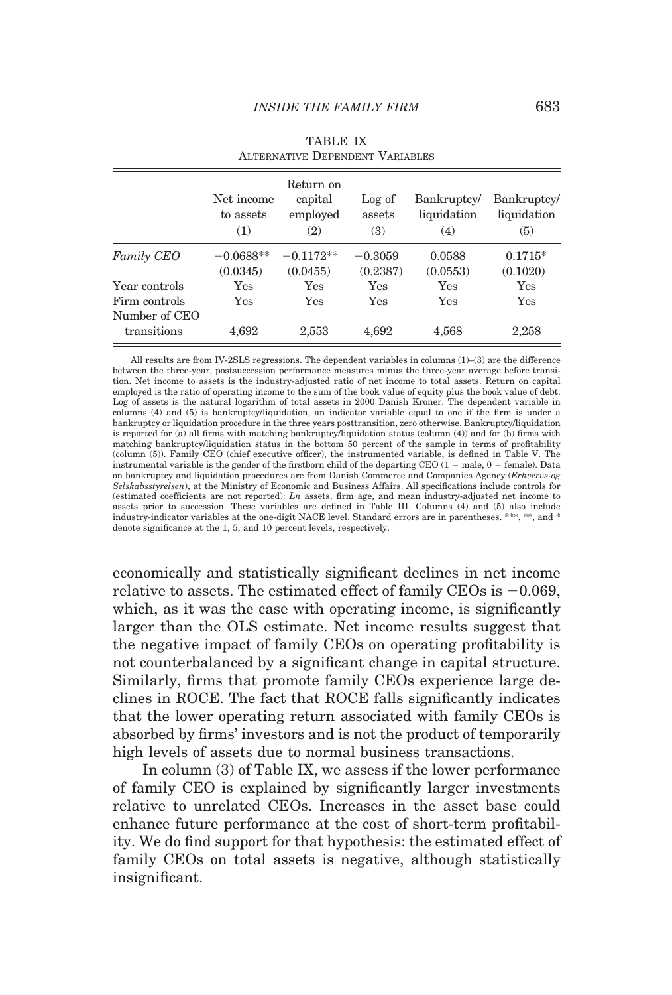|                                | Net income<br>to assets<br>(1) | Return on<br>capital<br>employed<br>(2) | Log of<br>assets<br>(3) | Bankruptcy/<br>liquidation<br>(4) | Bankruptcy/<br>liquidation<br>(5) |
|--------------------------------|--------------------------------|-----------------------------------------|-------------------------|-----------------------------------|-----------------------------------|
| <b>Family CEO</b>              | $-0.0688**$<br>(0.0345)        | $-0.1172**$<br>(0.0455)                 | $-0.3059$<br>(0.2387)   | 0.0588<br>(0.0553)                | $0.1715*$<br>(0.1020)             |
| Year controls                  | Yes                            | Yes                                     | Yes                     | Yes                               | Yes                               |
| Firm controls<br>Number of CEO | Yes                            | Yes                                     | Yes                     | Yes                               | Yes                               |
| transitions                    | 4,692                          | 2,553                                   | 4,692                   | 4,568                             | 2,258                             |

| <b>TABLE IX</b>                 |
|---------------------------------|
| ALTERNATIVE DEPENDENT VARIABLES |

All results are from IV-2SLS regressions. The dependent variables in columns (1)–(3) are the difference between the three-year, postsuccession performance measures minus the three-year average before transition. Net income to assets is the industry-adjusted ratio of net income to total assets. Return on capital employed is the ratio of operating income to the sum of the book value of equity plus the book value of debt. Log of assets is the natural logarithm of total assets in 2000 Danish Kroner. The dependent variable in columns (4) and (5) is bankruptcy/liquidation, an indicator variable equal to one if the firm is under a bankruptcy or liquidation procedure in the three years posttransition, zero otherwise. Bankruptcy/liquidation is reported for (a) all firms with matching bankruptcy/liquidation status (column (4)) and for (b) firms with matching bankruptcy/liquidation status in the bottom 50 percent of the sample in terms of profitability (column (5)). Family CEO (chief executive officer), the instrumented variable, is defined in Table V. The instrumental variable is the gender of the firstborn child of the departing CEO  $(1 = \text{male}, 0 = \text{female})$ . Data on bankruptcy and liquidation procedures are from Danish Commerce and Companies Agency (*Erhvervs-og Selskabsstyrelsen*), at the Ministry of Economic and Business Affairs. All specifications include controls for (estimated coefficients are not reported): *Ln* assets, firm age, and mean industry-adjusted net income to assets prior to succession. These variables are defined in Table III. Columns (4) and (5) also include industry-indicator variables at the one-digit NACE level. Standard errors are in parentheses. \*\*\*, \*\*, and \* denote significance at the 1, 5, and 10 percent levels, respectively.

economically and statistically significant declines in net income relative to assets. The estimated effect of family CEOs is  $-0.069$ , which, as it was the case with operating income, is significantly larger than the OLS estimate. Net income results suggest that the negative impact of family CEOs on operating profitability is not counterbalanced by a significant change in capital structure. Similarly, firms that promote family CEOs experience large declines in ROCE. The fact that ROCE falls significantly indicates that the lower operating return associated with family CEOs is absorbed by firms' investors and is not the product of temporarily high levels of assets due to normal business transactions.

In column (3) of Table IX, we assess if the lower performance of family CEO is explained by significantly larger investments relative to unrelated CEOs. Increases in the asset base could enhance future performance at the cost of short-term profitability. We do find support for that hypothesis: the estimated effect of family CEOs on total assets is negative, although statistically insignificant.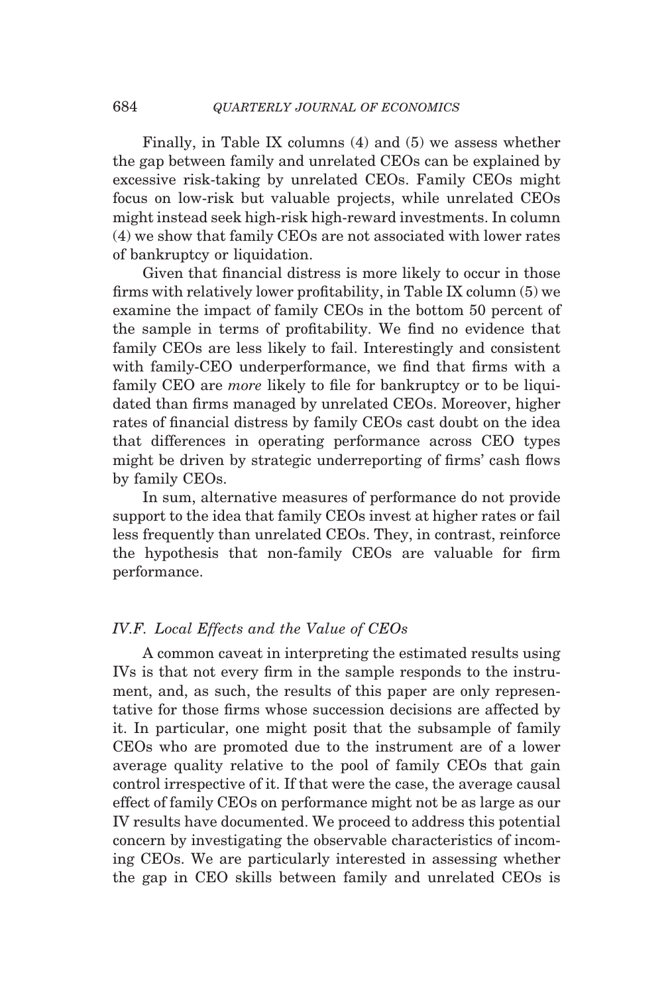Finally, in Table IX columns (4) and (5) we assess whether the gap between family and unrelated CEOs can be explained by excessive risk-taking by unrelated CEOs. Family CEOs might focus on low-risk but valuable projects, while unrelated CEOs might instead seek high-risk high-reward investments. In column (4) we show that family CEOs are not associated with lower rates of bankruptcy or liquidation.

Given that financial distress is more likely to occur in those firms with relatively lower profitability, in Table IX column (5) we examine the impact of family CEOs in the bottom 50 percent of the sample in terms of profitability. We find no evidence that family CEOs are less likely to fail. Interestingly and consistent with family-CEO underperformance, we find that firms with a family CEO are *more* likely to file for bankruptcy or to be liquidated than firms managed by unrelated CEOs. Moreover, higher rates of financial distress by family CEOs cast doubt on the idea that differences in operating performance across CEO types might be driven by strategic underreporting of firms' cash flows by family CEOs.

In sum, alternative measures of performance do not provide support to the idea that family CEOs invest at higher rates or fail less frequently than unrelated CEOs. They, in contrast, reinforce the hypothesis that non-family CEOs are valuable for firm performance.

### *IV.F. Local Effects and the Value of CEOs*

A common caveat in interpreting the estimated results using IVs is that not every firm in the sample responds to the instrument, and, as such, the results of this paper are only representative for those firms whose succession decisions are affected by it. In particular, one might posit that the subsample of family CEOs who are promoted due to the instrument are of a lower average quality relative to the pool of family CEOs that gain control irrespective of it. If that were the case, the average causal effect of family CEOs on performance might not be as large as our IV results have documented. We proceed to address this potential concern by investigating the observable characteristics of incoming CEOs. We are particularly interested in assessing whether the gap in CEO skills between family and unrelated CEOs is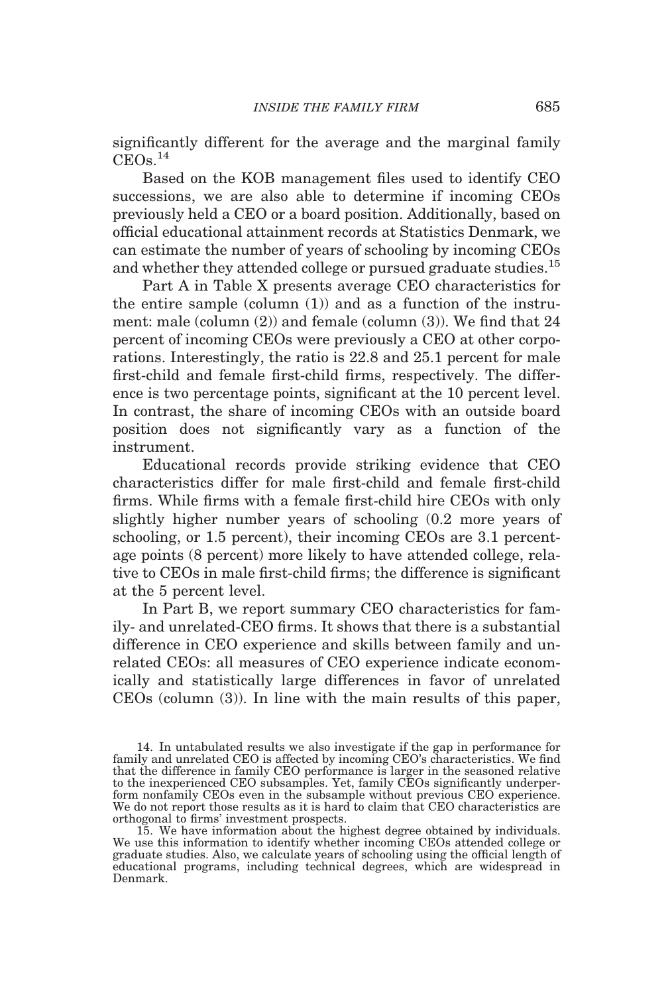significantly different for the average and the marginal family  $CEOs.<sup>14</sup>$ 

Based on the KOB management files used to identify CEO successions, we are also able to determine if incoming CEOs previously held a CEO or a board position. Additionally, based on official educational attainment records at Statistics Denmark, we can estimate the number of years of schooling by incoming CEOs and whether they attended college or pursued graduate studies.<sup>15</sup>

Part A in Table X presents average CEO characteristics for the entire sample (column (1)) and as a function of the instrument: male (column (2)) and female (column (3)). We find that 24 percent of incoming CEOs were previously a CEO at other corporations. Interestingly, the ratio is 22.8 and 25.1 percent for male first-child and female first-child firms, respectively. The difference is two percentage points, significant at the 10 percent level. In contrast, the share of incoming CEOs with an outside board position does not significantly vary as a function of the instrument.

Educational records provide striking evidence that CEO characteristics differ for male first-child and female first-child firms. While firms with a female first-child hire CEOs with only slightly higher number years of schooling (0.2 more years of schooling, or 1.5 percent), their incoming CEOs are 3.1 percentage points (8 percent) more likely to have attended college, relative to CEOs in male first-child firms; the difference is significant at the 5 percent level.

In Part B, we report summary CEO characteristics for family- and unrelated-CEO firms. It shows that there is a substantial difference in CEO experience and skills between family and unrelated CEOs: all measures of CEO experience indicate economically and statistically large differences in favor of unrelated CEOs (column (3)). In line with the main results of this paper,

15. We have information about the highest degree obtained by individuals. We use this information to identify whether incoming CEOs attended college or graduate studies. Also, we calculate years of schooling using the official length of educational programs, including technical degrees, which are widespread in Denmark.

<sup>14.</sup> In untabulated results we also investigate if the gap in performance for family and unrelated CEO is affected by incoming CEO's characteristics. We find that the difference in family CEO performance is larger in the seasoned relative to the inexperienced CEO subsamples. Yet, family CEOs significantly underperform nonfamily CEOs even in the subsample without previous CEO experience. We do not report those results as it is hard to claim that CEO characteristics are orthogonal to firms' investment prospects.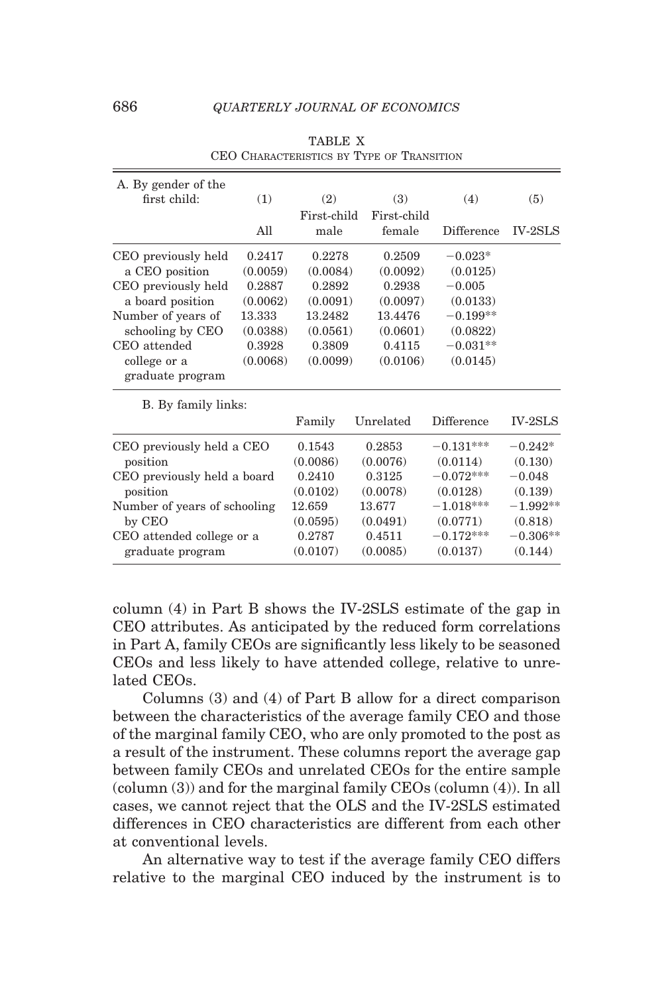| A. By gender of the          |          |             |             |             |            |
|------------------------------|----------|-------------|-------------|-------------|------------|
| first child:                 | (1)      | (2)         | (3)         | (4)         | (5)        |
|                              |          | First-child | First-child |             |            |
|                              | All      | male        | female      | Difference  | $IV-2SLS$  |
| CEO previously held          | 0.2417   | 0.2278      | 0.2509      | $-0.023*$   |            |
| a CEO position               | (0.0059) | (0.0084)    | (0.0092)    | (0.0125)    |            |
| CEO previously held          | 0.2887   | 0.2892      | 0.2938      | $-0.005$    |            |
| a board position             | (0.0062) | (0.0091)    | (0.0097)    | (0.0133)    |            |
| Number of years of           | 13.333   | 13.2482     | 13.4476     | $-0.199**$  |            |
| schooling by CEO             | (0.0388) | (0.0561)    | (0.0601)    | (0.0822)    |            |
| CEO attended                 | 0.3928   | 0.3809      | 0.4115      | $-0.031**$  |            |
| college or a                 | (0.0068) | (0.0099)    | (0.0106)    | (0.0145)    |            |
| graduate program             |          |             |             |             |            |
| B. By family links:          |          |             |             |             |            |
|                              |          | Family      | Unrelated   | Difference  | $IV-2SLS$  |
| CEO previously held a CEO    |          | 0.1543      | 0.2853      | $-0.131***$ | $-0.242*$  |
| position                     |          | (0.0086)    | (0.0076)    | (0.0114)    | (0.130)    |
| CEO previously held a board  |          | 0.2410      | 0.3125      | $-0.072***$ | $-0.048$   |
| position                     |          | (0.0102)    | (0.0078)    | (0.0128)    | (0.139)    |
| Number of years of schooling |          | 12.659      | 13.677      | $-1.018***$ | $-1.992**$ |
| by CEO                       |          | (0.0595)    | (0.0491)    | (0.0771)    | (0.818)    |
| CEO attended college or a    |          | 0.2787      | 0.4511      | $-0.172***$ | $-0.306**$ |
| graduate program             |          | (0.0107)    | (0.0085)    | (0.0137)    | (0.144)    |

TABLE X CEO CHARACTERISTICS BY TYPE OF TRANSITION

column (4) in Part B shows the IV-2SLS estimate of the gap in CEO attributes. As anticipated by the reduced form correlations in Part A, family CEOs are significantly less likely to be seasoned CEOs and less likely to have attended college, relative to unrelated CEOs.

Columns (3) and (4) of Part B allow for a direct comparison between the characteristics of the average family CEO and those of the marginal family CEO, who are only promoted to the post as a result of the instrument. These columns report the average gap between family CEOs and unrelated CEOs for the entire sample (column (3)) and for the marginal family CEOs (column (4)). In all cases, we cannot reject that the OLS and the IV-2SLS estimated differences in CEO characteristics are different from each other at conventional levels.

An alternative way to test if the average family CEO differs relative to the marginal CEO induced by the instrument is to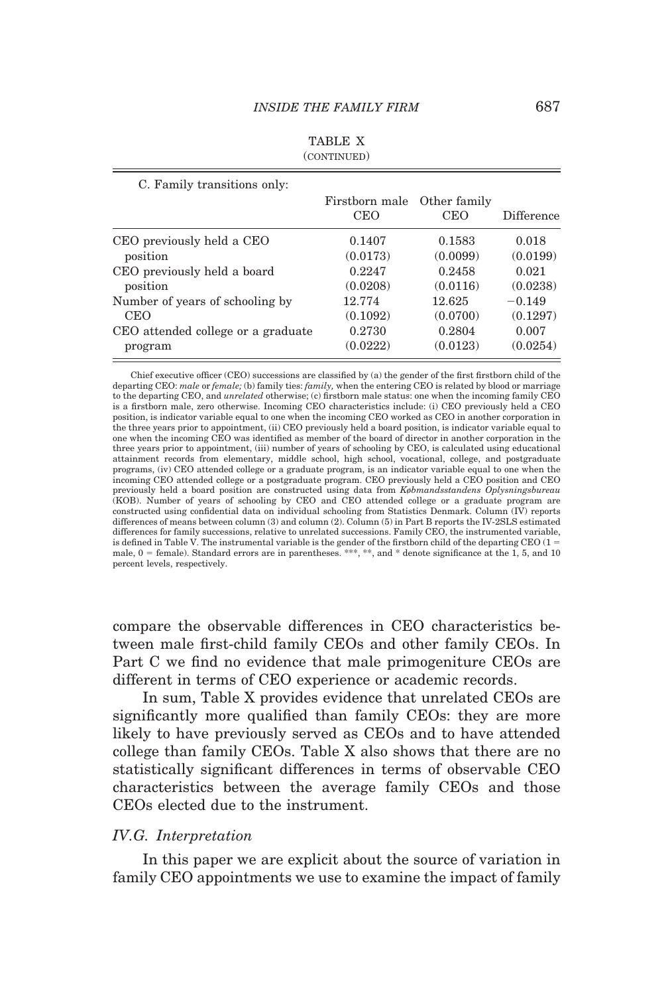|                                    | (CONTINUED)    |              |            |
|------------------------------------|----------------|--------------|------------|
| C. Family transitions only:        | Firstborn male | Other family |            |
|                                    | <b>CEO</b>     | <b>CEO</b>   | Difference |
| CEO previously held a CEO          | 0.1407         | 0.1583       | 0.018      |
| position                           | (0.0173)       | (0.0099)     | (0.0199)   |
| CEO previously held a board        | 0.2247         | 0.2458       | 0.021      |
| position                           | (0.0208)       | (0.0116)     | (0.0238)   |
| Number of years of schooling by    | 12.774         | 12.625       | $-0.149$   |
| <b>CEO</b>                         | (0.1092)       | (0.0700)     | (0.1297)   |
| CEO attended college or a graduate | 0.2730         | 0.2804       | 0.007      |
| program                            | (0.0222)       | (0.0123)     | (0.0254)   |

Chief executive officer (CEO) successions are classified by (a) the gender of the first firstborn child of the departing CEO: *male* or *female;* (b) family ties: *family,* when the entering CEO is related by blood or marriage to the departing CEO, and *unrelated* otherwise; (c) firstborn male status: one when the incoming family CEO is a firstborn male, zero otherwise. Incoming CEO characteristics include: (i) CEO previously held a CEO position, is indicator variable equal to one when the incoming CEO worked as CEO in another corporation in the three years prior to appointment, (ii) CEO previously held a board position, is indicator variable equal to one when the incoming CEO was identified as member of the board of director in another corporation in the three years prior to appointment, (iii) number of years of schooling by CEO, is calculated using educational attainment records from elementary, middle school, high school, vocational, college, and postgraduate programs, (iv) CEO attended college or a graduate program, is an indicator variable equal to one when the incoming CEO attended college or a postgraduate program. CEO previously held a CEO position and CEO previously held a board position are constructed using data from *Købmandsstandens Oplysningsbureau* (KOB). Number of years of schooling by CEO and CEO attended college or a graduate program are constructed using confidential data on individual schooling from Statistics Denmark. Column (IV) reports differences of means between column (3) and column (2). Column (5) in Part B reports the IV-2SLS estimated differences for family successions, relative to unrelated successions. Family CEO, the instrumented variable, is defined in Table V. The instrumental variable is the gender of the firstborn child of the departing CEO (1 male,  $0 =$  female). Standard errors are in parentheses. \*\*\*, \*\*, and \* denote significance at the  $1, 5$ , and 10 percent levels, respectively.

compare the observable differences in CEO characteristics between male first-child family CEOs and other family CEOs. In Part C we find no evidence that male primogeniture CEOs are different in terms of CEO experience or academic records.

In sum, Table X provides evidence that unrelated CEOs are significantly more qualified than family CEOs: they are more likely to have previously served as CEOs and to have attended college than family CEOs. Table X also shows that there are no statistically significant differences in terms of observable CEO characteristics between the average family CEOs and those CEOs elected due to the instrument.

#### *IV.G. Interpretation*

In this paper we are explicit about the source of variation in family CEO appointments we use to examine the impact of family

TABLE X  $(\overline{C}$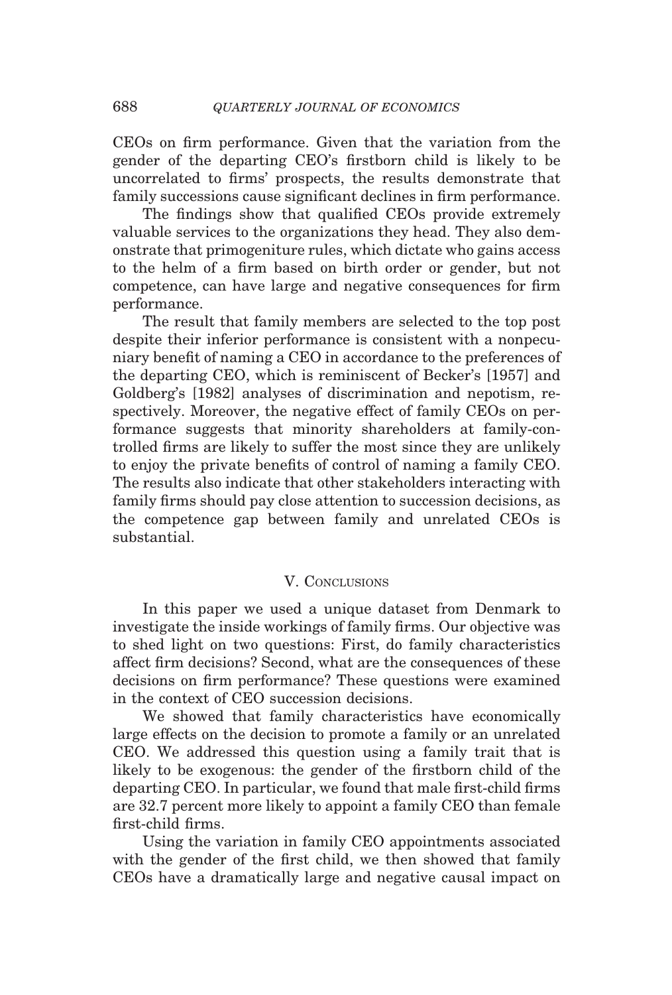CEOs on firm performance. Given that the variation from the gender of the departing CEO's firstborn child is likely to be uncorrelated to firms' prospects, the results demonstrate that family successions cause significant declines in firm performance.

The findings show that qualified CEOs provide extremely valuable services to the organizations they head. They also demonstrate that primogeniture rules, which dictate who gains access to the helm of a firm based on birth order or gender, but not competence, can have large and negative consequences for firm performance.

The result that family members are selected to the top post despite their inferior performance is consistent with a nonpecuniary benefit of naming a CEO in accordance to the preferences of the departing CEO, which is reminiscent of Becker's [1957] and Goldberg's [1982] analyses of discrimination and nepotism, respectively. Moreover, the negative effect of family CEOs on performance suggests that minority shareholders at family-controlled firms are likely to suffer the most since they are unlikely to enjoy the private benefits of control of naming a family CEO. The results also indicate that other stakeholders interacting with family firms should pay close attention to succession decisions, as the competence gap between family and unrelated CEOs is substantial.

#### V. CONCLUSIONS

In this paper we used a unique dataset from Denmark to investigate the inside workings of family firms. Our objective was to shed light on two questions: First, do family characteristics affect firm decisions? Second, what are the consequences of these decisions on firm performance? These questions were examined in the context of CEO succession decisions.

We showed that family characteristics have economically large effects on the decision to promote a family or an unrelated CEO. We addressed this question using a family trait that is likely to be exogenous: the gender of the firstborn child of the departing CEO. In particular, we found that male first-child firms are 32.7 percent more likely to appoint a family CEO than female first-child firms.

Using the variation in family CEO appointments associated with the gender of the first child, we then showed that family CEOs have a dramatically large and negative causal impact on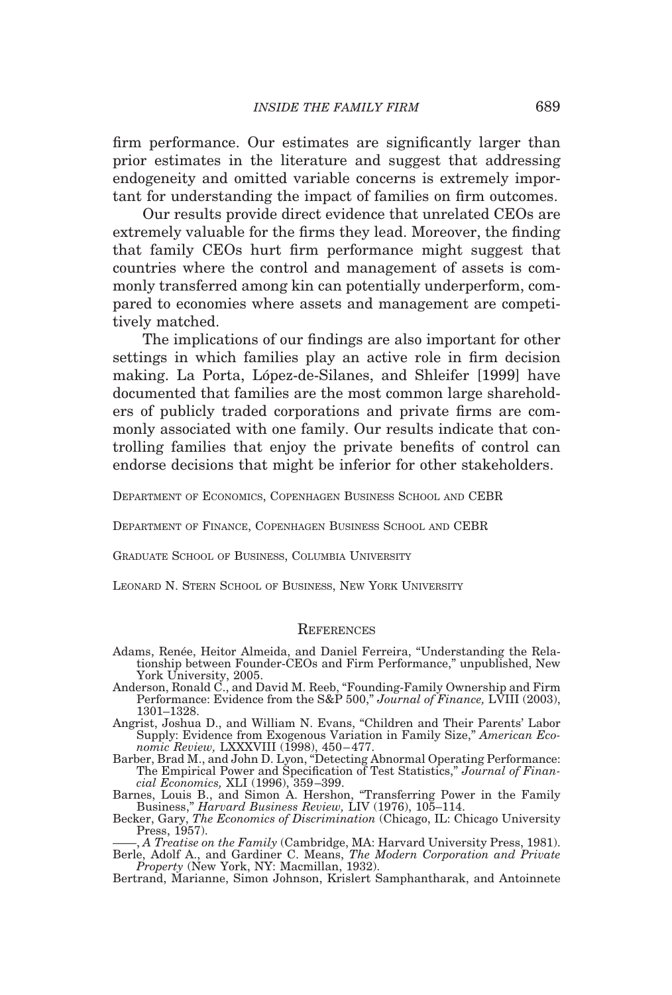firm performance. Our estimates are significantly larger than prior estimates in the literature and suggest that addressing endogeneity and omitted variable concerns is extremely important for understanding the impact of families on firm outcomes.

Our results provide direct evidence that unrelated CEOs are extremely valuable for the firms they lead. Moreover, the finding that family CEOs hurt firm performance might suggest that countries where the control and management of assets is commonly transferred among kin can potentially underperform, compared to economies where assets and management are competitively matched.

The implications of our findings are also important for other settings in which families play an active role in firm decision making. La Porta, López-de-Silanes, and Shleifer [1999] have documented that families are the most common large shareholders of publicly traded corporations and private firms are commonly associated with one family. Our results indicate that controlling families that enjoy the private benefits of control can endorse decisions that might be inferior for other stakeholders.

DEPARTMENT OF ECONOMICS, COPENHAGEN BUSINESS SCHOOL AND CEBR

DEPARTMENT OF FINANCE, COPENHAGEN BUSINESS SCHOOL AND CEBR

GRADUATE SCHOOL OF BUSINESS, COLUMBIA UNIVERSITY

LEONARD N. STERN SCHOOL OF BUSINESS, NEW YORK UNIVERSITY

#### **REFERENCES**

- Adams, Renée, Heitor Almeida, and Daniel Ferreira, "Understanding the Relationship between Founder-CEOs and Firm Performance," unpublished, New York University, 2005.
- Anderson, Ronald C., and David M. Reeb, "Founding-Family Ownership and Firm Performance: Evidence from the S&P 500," *Journal of Finance,* LVIII (2003), 1301–1328.
- Angrist, Joshua D., and William N. Evans, "Children and Their Parents' Labor Supply: Evidence from Exogenous Variation in Family Size," *American Economic Review,* LXXXVIII (1998), 450–477.
- Barber, Brad M., and John D. Lyon, "Detecting Abnormal Operating Performance: The Empirical Power and Specification of Test Statistics," *Journal of Financial Economics,* XLI (1996), 359–399.
- Barnes, Louis B., and Simon A. Hershon, "Transferring Power in the Family Business," *Harvard Business Review,* LIV (1976), 105–114. Becker, Gary, *The Economics of Discrimination* (Chicago, IL: Chicago University
- Press, 1957).

——, *A Treatise on the Family* (Cambridge, MA: Harvard University Press, 1981). Berle, Adolf A., and Gardiner C. Means, *The Modern Corporation and Private Property* (New York, NY: Macmillan, 1932).

Bertrand, Marianne, Simon Johnson, Krislert Samphantharak, and Antoinnete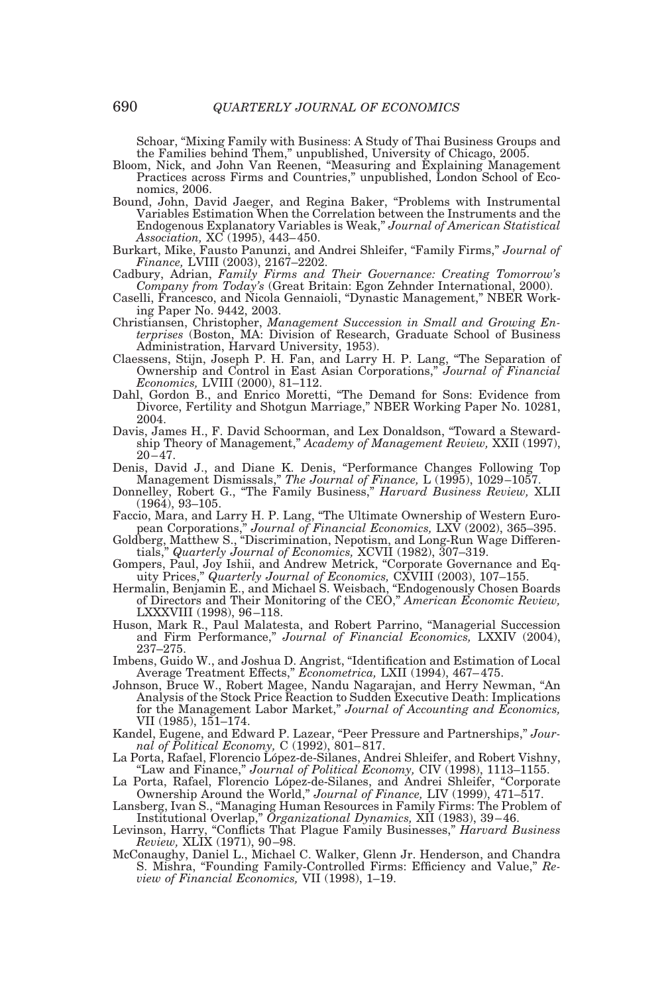Schoar, "Mixing Family with Business: A Study of Thai Business Groups and the Families behind Them," unpublished, University of Chicago, 2005.

- Bloom, Nick, and John Van Reenen, "Measuring and Explaining Management Practices across Firms and Countries," unpublished, London School of Economics, 2006.
- Bound, John, David Jaeger, and Regina Baker, "Problems with Instrumental Variables Estimation When the Correlation between the Instruments and the Endogenous Explanatory Variables is Weak," *Journal of American Statistical Association,* XC (1995), 443–450.
- Burkart, Mike, Fausto Panunzi, and Andrei Shleifer, "Family Firms," *Journal of Finance,* LVIII (2003), 2167–2202.
- Cadbury, Adrian, *Family Firms and Their Governance: Creating Tomorrow's Company from Today's* (Great Britain: Egon Zehnder International, 2000).
- Caselli, Francesco, and Nicola Gennaioli, "Dynastic Management," NBER Working Paper No. 9442, 2003.
- Christiansen, Christopher, *Management Succession in Small and Growing Enterprises* (Boston, MA: Division of Research, Graduate School of Business Administration, Harvard University, 1953).
- Claessens, Stijn, Joseph P. H. Fan, and Larry H. P. Lang, "The Separation of Ownership and Control in East Asian Corporations," *Journal of Financial Economics,* LVIII (2000), 81–112.
- Dahl, Gordon B., and Enrico Moretti, "The Demand for Sons: Evidence from Divorce, Fertility and Shotgun Marriage," NBER Working Paper No. 10281, 2004.
- Davis, James H., F. David Schoorman, and Lex Donaldson, "Toward a Stewardship Theory of Management," *Academy of Management Review,* XXII (1997),  $20 - 47$ .
- Denis, David J., and Diane K. Denis, "Performance Changes Following Top Management Dismissals," *The Journal of Finance,* L (1995), 1029–1057.
- Donnelley, Robert G., "The Family Business," *Harvard Business Review,* XLII (1964), 93–105.
- Faccio, Mara, and Larry H. P. Lang, "The Ultimate Ownership of Western European Corporations," *Journal of Financial Economics,* LXV (2002), 365–395.
- Goldberg, Matthew S., "Discrimination, Nepotism, and Long-Run Wage Differentials," *Quarterly Journal of Economics,* XCVII (1982), 307–319.
- Gompers, Paul, Joy Ishii, and Andrew Metrick, "Corporate Governance and Equity Prices," *Quarterly Journal of Economics,* CXVIII (2003), 107–155.
- Hermalin, Benjamin E., and Michael S. Weisbach, "Endogenously Chosen Boards of Directors and Their Monitoring of the CEO," *American Economic Review,* LXXXVIII (1998), 96–118.
- Huson, Mark R., Paul Malatesta, and Robert Parrino, "Managerial Succession and Firm Performance," *Journal of Financial Economics,* LXXIV (2004), 237–275.
- Imbens, Guido W., and Joshua D. Angrist, "Identification and Estimation of Local Average Treatment Effects," *Econometrica,* LXII (1994), 467–475.
- Johnson, Bruce W., Robert Magee, Nandu Nagarajan, and Herry Newman, "An Analysis of the Stock Price Reaction to Sudden Executive Death: Implications for the Management Labor Market," *Journal of Accounting and Economics,* VII (1985), 151–174.
- Kandel, Eugene, and Edward P. Lazear, "Peer Pressure and Partnerships," *Journal of Political Economy,* C (1992), 801–817.
- La Porta, Rafael, Florencio López-de-Silanes, Andrei Shleifer, and Robert Vishny, "Law and Finance," *Journal of Political Economy,* CIV (1998), 1113–1155.
- La Porta, Rafael, Florencio López-de-Silanes, and Andrei Shleifer, "Corporate Ownership Around the World," *Journal of Finance,* LIV (1999), 471–517.
- Lansberg, Ivan S., "Managing Human Resources in Family Firms: The Problem of Institutional Overlap," *Organizational Dynamics,* XII (1983), 39–46.
- Levinson, Harry, "Conflicts That Plague Family Businesses," *Harvard Business Review,* XLIX (1971), 90–98.
- McConaughy, Daniel L., Michael C. Walker, Glenn Jr. Henderson, and Chandra S. Mishra, "Founding Family-Controlled Firms: Efficiency and Value," *Review of Financial Economics,* VII (1998), 1–19.